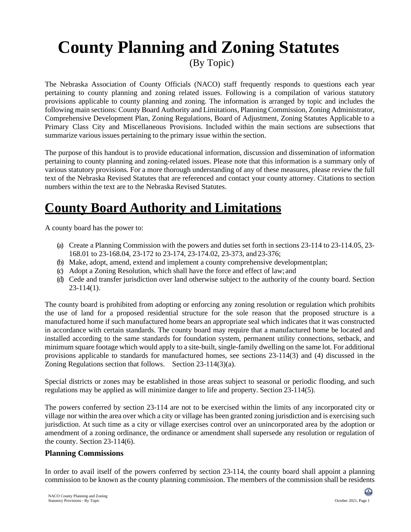# **County Planning and Zoning Statutes**

(By Topic)

The Nebraska Association of County Officials (NACO) staff frequently responds to questions each year pertaining to county planning and zoning related issues. Following is a compilation of various statutory provisions applicable to county planning and zoning. The information is arranged by topic and includes the following main sections: County Board Authority and Limitations, Planning Commission, Zoning Administrator, Comprehensive Development Plan, Zoning Regulations, Board of Adjustment, Zoning Statutes Applicable to a Primary Class City and Miscellaneous Provisions. Included within the main sections are subsections that summarize various issues pertaining to the primary issue within the section.

The purpose of this handout is to provide educational information, discussion and dissemination of information pertaining to county planning and zoning-related issues. Please note that this information is a summary only of various statutory provisions. For a more thorough understanding of any of these measures, please review the full text of the Nebraska Revised Statutes that are referenced and contact your county attorney. Citations to section numbers within the text are to the Nebraska Revised Statutes.

## **County Board Authority and Limitations**

A county board has the power to:

- (a) Create a Planning Commission with the powers and duties set forth in sections 23-114 to 23-114.05, 23- 168.01 to 23-168.04, 23-172 to 23-174, 23-174.02, 23-373, and 23-376;
- (b) Make, adopt, amend, extend and implement a county comprehensive developmentplan;
- (c) Adopt a Zoning Resolution, which shall have the force and effect of law; and
- (d) Cede and transfer jurisdiction over land otherwise subject to the authority of the county board. Section 23-114(1).

The county board is prohibited from adopting or enforcing any zoning resolution or regulation which prohibits the use of land for a proposed residential structure for the sole reason that the proposed structure is a manufactured home if such manufactured home bears an appropriate seal which indicates that it was constructed in accordance with certain standards. The county board may require that a manufactured home be located and installed according to the same standards for foundation system, permanent utility connections, setback, and minimum square footage which would apply to a site-built, single-family dwelling on the same lot. For additional provisions applicable to standards for manufactured homes, see sections 23-114(3) and (4) discussed in the Zoning Regulations section that follows. Section 23-114(3)(a).

Special districts or zones may be established in those areas subject to seasonal or periodic flooding, and such regulations may be applied as will minimize danger to life and property. Section 23-114(5).

The powers conferred by section 23-114 are not to be exercised within the limits of any incorporated city or village nor within the area over which a city or village has been granted zoning jurisdiction and is exercising such jurisdiction. At such time as a city or village exercises control over an unincorporated area by the adoption or amendment of a zoning ordinance, the ordinance or amendment shall supersede any resolution or regulation of the county. Section 23-114(6).

#### **Planning Commissions**

In order to avail itself of the powers conferred by section 23-114, the county board shall appoint a planning commission to be known as the county planning commission. The members of the commission shall be residents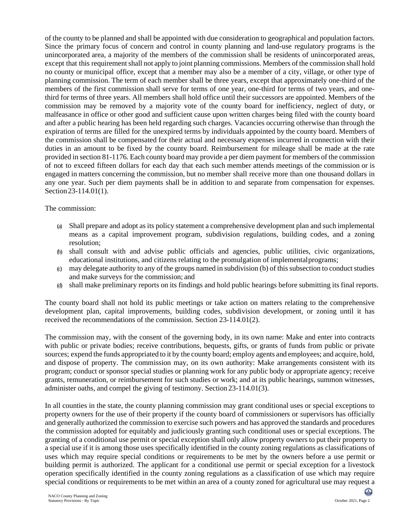of the county to be planned and shall be appointed with due consideration to geographical and population factors. Since the primary focus of concern and control in county planning and land-use regulatory programs is the unincorporated area, a majority of the members of the commission shall be residents of unincorporated areas, except that this requirement shall not apply to joint planning commissions. Members of the commission shall hold no county or municipal office, except that a member may also be a member of a city, village, or other type of planning commission. The term of each member shall be three years, except that approximately one-third of the members of the first commission shall serve for terms of one year, one-third for terms of two years, and onethird for terms of three years. All members shall hold office until their successors are appointed. Members of the commission may be removed by a majority vote of the county board for inefficiency, neglect of duty, or malfeasance in office or other good and sufficient cause upon written charges being filed with the county board and after a public hearing has been held regarding such charges. Vacancies occurring otherwise than through the expiration of terms are filled for the unexpired terms by individuals appointed by the county board. Members of the commission shall be compensated for their actual and necessary expenses incurred in connection with their duties in an amount to be fixed by the county board. Reimbursement for mileage shall be made at the rate provided in section 81-1176. Each county board may provide a per diem payment for members of the commission of not to exceed fifteen dollars for each day that each such member attends meetings of the commission or is engaged in matters concerning the commission, but no member shall receive more than one thousand dollars in any one year. Such per diem payments shall be in addition to and separate from compensation for expenses. Section 23-114.01(1).

The commission:

- (a) Shall prepare and adopt as its policy statement a comprehensive development plan and such implemental means as a capital improvement program, subdivision regulations, building codes, and a zoning resolution;
- (b) shall consult with and advise public officials and agencies, public utilities, civic organizations, educational institutions, and citizens relating to the promulgation of implementalprograms;
- (c) may delegate authority to any of the groups named in subdivision (b) of this subsection to conduct studies and make surveys for the commission; and
- (d) shall make preliminary reports on its findings and hold public hearings before submitting its final reports.

The county board shall not hold its public meetings or take action on matters relating to the comprehensive development plan, capital improvements, building codes, subdivision development, or zoning until it has received the recommendations of the commission. Section 23-114.01(2).

The commission may, with the consent of the governing body, in its own name: Make and enter into contracts with public or private bodies; receive contributions, bequests, gifts, or grants of funds from public or private sources; expend the funds appropriated to it by the county board; employ agents and employees; and acquire, hold, and dispose of property. The commission may, on its own authority: Make arrangements consistent with its program; conduct or sponsor special studies or planning work for any public body or appropriate agency; receive grants, remuneration, or reimbursement for such studies or work; and at its public hearings, summon witnesses, administer oaths, and compel the giving of testimony. Section 23-114.01(3).

In all counties in the state, the county planning commission may grant conditional uses or special exceptions to property owners for the use of their property if the county board of commissioners or supervisors has officially and generally authorized the commission to exercise such powers and has approved the standards and procedures the commission adopted for equitably and judiciously granting such conditional uses or special exceptions. The granting of a conditional use permit or special exception shall only allow property owners to put their property to a special use if it is among those uses specifically identified in the county zoning regulations as classifications of uses which may require special conditions or requirements to be met by the owners before a use permit or building permit is authorized. The applicant for a conditional use permit or special exception for a livestock operation specifically identified in the county zoning regulations as a classification of use which may require special conditions or requirements to be met within an area of a county zoned for agricultural use may request a

 $\bf \Theta$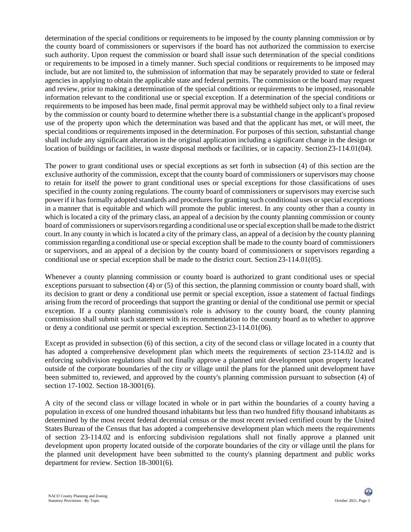determination of the special conditions or requirements to be imposed by the county planning commission or by the county board of commissioners or supervisors if the board has not authorized the commission to exercise such authority. Upon request the commission or board shall issue such determination of the special conditions or requirements to be imposed in a timely manner. Such special conditions or requirements to be imposed may include, but are not limited to, the submission of information that may be separately provided to state or federal agencies in applying to obtain the applicable state and federal permits. The commission or the board may request and review, prior to making a determination of the special conditions or requirements to be imposed, reasonable information relevant to the conditional use or special exception. If a determination of the special conditions or requirements to be imposed has been made, final permit approval may be withheld subject only to a final review by the commission or county board to determine whether there is a substantial change in the applicant's proposed use of the property upon which the determination was based and that the applicant has met, or will meet, the special conditions or requirementsimposed in the determination. For purposes of this section, substantial change shall include any significant alteration in the original application including a significant change in the design or location of buildings or facilities, in waste disposal methods or facilities, or in capacity. Section23-114.01(04).

The power to grant conditional uses or special exceptions as set forth in subsection (4) of this section are the exclusive authority of the commission, except that the county board of commissioners or supervisors may choose to retain for itself the power to grant conditional uses or special exceptions for those classifications of uses specified in the county zoning regulations. The county board of commissioners or supervisors may exercise such power if it has formally adopted standards and procedures for granting such conditional uses or special exceptions in a manner that is equitable and which will promote the public interest. In any county other than a county in which is located a city of the primary class, an appeal of a decision by the county planning commission or county board of commissioners or supervisorsregarding a conditional use orspecial exception shall bemade to the district court. In any county in which is located a city of the primary class, an appeal of a decision by the county planning commission regarding a conditional use or special exception shall be made to the county board of commissioners or supervisors, and an appeal of a decision by the county board of commissioners or supervisors regarding a conditional use or special exception shall be made to the district court. Section 23-114.01(05).

Whenever a county planning commission or county board is authorized to grant conditional uses or special exceptions pursuant to subsection (4) or (5) of this section, the planning commission or county board shall, with its decision to grant or deny a conditional use permit or special exception, issue a statement of factual findings arising from the record of proceedings that support the granting or denial of the conditional use permit or special exception. If a county planning commission's role is advisory to the county board, the county planning commission shall submit such statement with its recommendation to the county board as to whether to approve or deny a conditional use permit or special exception. Section 23-114.01(06).

Except as provided in subsection (6) of this section, a city of the second class or village located in a county that has adopted a comprehensive development plan which meets the requirements of section 23-114.02 and is enforcing subdivision regulations shall not finally approve a planned unit development upon property located outside of the corporate boundaries of the city or village until the plans for the planned unit development have been submitted to, reviewed, and approved by the county's planning commission pursuant to subsection (4) of section 17-1002. Section 18-3001(6).

A city of the second class or village located in whole or in part within the boundaries of a county having a population in excess of one hundred thousand inhabitants but less than two hundred fifty thousand inhabitants as determined by the most recent federal decennial census or the most recent revised certified count by the United States Bureau of the Census that has adopted a comprehensive development plan which meets the requirements of section 23-114.02 and is enforcing subdivision regulations shall not finally approve a planned unit development upon property located outside of the corporate boundaries of the city or village until the plans for the planned unit development have been submitted to the county's planning department and public works department for review. Section 18-3001(6).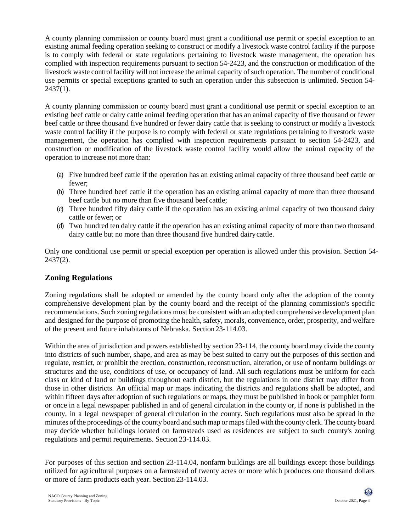A county planning commission or county board must grant a conditional use permit or special exception to an existing animal feeding operation seeking to construct or modify a livestock waste control facility if the purpose is to comply with federal or state regulations pertaining to livestock waste management, the operation has complied with inspection requirements pursuant to section 54-2423, and the construction or modification of the livestock waste control facility will not increase the animal capacity of such operation. The number of conditional use permits or special exceptions granted to such an operation under this subsection is unlimited. Section 54-  $2437(1)$ .

A county planning commission or county board must grant a conditional use permit or special exception to an existing beef cattle or dairy cattle animal feeding operation that has an animal capacity of five thousand or fewer beef cattle or three thousand five hundred or fewer dairy cattle that is seeking to construct or modify a livestock waste control facility if the purpose is to comply with federal or state regulations pertaining to livestock waste management, the operation has complied with inspection requirements pursuant to section 54-2423, and construction or modification of the livestock waste control facility would allow the animal capacity of the operation to increase not more than:

- (a) Five hundred beef cattle if the operation has an existing animal capacity of three thousand beef cattle or fewer;
- (b) Three hundred beef cattle if the operation has an existing animal capacity of more than three thousand beef cattle but no more than five thousand beef cattle;
- (c) Three hundred fifty dairy cattle if the operation has an existing animal capacity of two thousand dairy cattle or fewer; or
- (d) Two hundred ten dairy cattle if the operation has an existing animal capacity of more than two thousand dairy cattle but no more than three thousand five hundred dairycattle.

Only one conditional use permit or special exception per operation is allowed under this provision. Section 54- 2437(2).

#### **Zoning Regulations**

Zoning regulations shall be adopted or amended by the county board only after the adoption of the county comprehensive development plan by the county board and the receipt of the planning commission's specific recommendations. Such zoning regulations must be consistent with an adopted comprehensive development plan and designed for the purpose of promoting the health, safety, morals, convenience, order, prosperity, and welfare of the present and future inhabitants of Nebraska. Section23-114.03.

Within the area of jurisdiction and powers established by section 23-114, the county board may divide the county into districts of such number, shape, and area as may be best suited to carry out the purposes of this section and regulate, restrict, or prohibit the erection, construction, reconstruction, alteration, or use of nonfarm buildings or structures and the use, conditions of use, or occupancy of land. All such regulations must be uniform for each class or kind of land or buildings throughout each district, but the regulations in one district may differ from those in other districts. An official map or maps indicating the districts and regulations shall be adopted, and within fifteen days after adoption of such regulations or maps, they must be published in book or pamphlet form or once in a legal newspaper published in and of general circulation in the county or, if none is published in the county, in a legal newspaper of general circulation in the county. Such regulations must also be spread in the minutes ofthe proceedings ofthe county board and suchmap or mapsfiled with the county clerk.The county board may decide whether buildings located on farmsteads used as residences are subject to such county's zoning regulations and permit requirements. Section 23-114.03.

For purposes of this section and section 23-114.04, nonfarm buildings are all buildings except those buildings utilized for agricultural purposes on a farmstead of twenty acres or more which produces one thousand dollars or more of farm products each year. Section 23-114.03.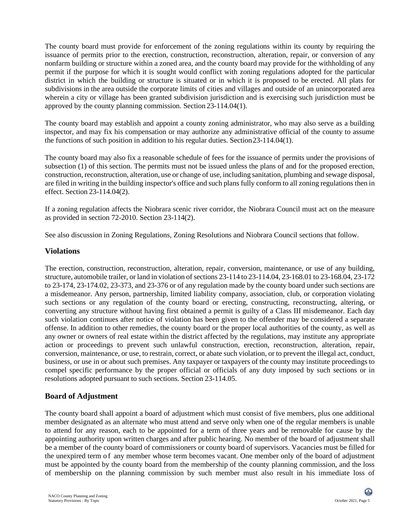The county board must provide for enforcement of the zoning regulations within its county by requiring the issuance of permits prior to the erection, construction, reconstruction, alteration, repair, or conversion of any nonfarm building or structure within a zoned area, and the county board may provide for the withholding of any permit if the purpose for which it is sought would conflict with zoning regulations adopted for the particular district in which the building or structure is situated or in which it is proposed to be erected. All plats for subdivisions in the area outside the corporate limits of cities and villages and outside of an unincorporated area wherein a city or village has been granted subdivision jurisdiction and is exercising such jurisdiction must be approved by the county planning commission. Section 23-114.04(1).

The county board may establish and appoint a county zoning administrator, who may also serve as a building inspector, and may fix his compensation or may authorize any administrative official of the county to assume the functions of such position in addition to his regular duties. Section23-114.04(1).

The county board may also fix a reasonable schedule of fees for the issuance of permits under the provisions of subsection (1) of this section. The permits must not be issued unless the plans of and for the proposed erection, construction, reconstruction, alteration, use or change of use, including sanitation, plumbing and sewage disposal, are filed in writing in the building inspector's office and such plans fully conform to all zoning regulations then in effect. Section 23-114.04(2).

If a zoning regulation affects the Niobrara scenic river corridor, the Niobrara Council must act on the measure as provided in section 72-2010. Section 23-114(2).

See also discussion in Zoning Regulations, Zoning Resolutions and Niobrara Council sections that follow.

#### **Violations**

The erection, construction, reconstruction, alteration, repair, conversion, maintenance, or use of any building, structure, automobile trailer, or land in violation of sections 23-114 to 23-114.04, 23-168.01 to 23-168.04, 23-172 to 23-174, 23-174.02, 23-373, and 23-376 or of any regulation made by the county board under such sections are a misdemeanor. Any person, partnership, limited liability company, association, club, or corporation violating such sections or any regulation of the county board or erecting, constructing, reconstructing, altering, or converting any structure without having first obtained a permit is guilty of a Class III misdemeanor. Each day such violation continues after notice of violation has been given to the offender may be considered a separate offense. In addition to other remedies, the county board or the proper local authorities of the county, as well as any owner or owners of real estate within the district affected by the regulations, may institute any appropriate action or proceedings to prevent such unlawful construction, erection, reconstruction, alteration, repair, conversion, maintenance, or use, to restrain, correct, or abate such violation, or to prevent the illegal act, conduct, business, or use in or about such premises. Any taxpayer or taxpayers of the county may institute proceedings to compel specific performance by the proper official or officials of any duty imposed by such sections or in resolutions adopted pursuant to such sections. Section 23-114.05.

## **Board of Adjustment**

The county board shall appoint a board of adjustment which must consist of five members, plus one additional member designated as an alternate who must attend and serve only when one of the regular members is unable to attend for any reason, each to be appointed for a term of three years and be removable for cause by the appointing authority upon written charges and after public hearing. No member of the board of adjustment shall be a member of the county board of commissioners or county board of supervisors. Vacancies must be filled for the unexpired term of any member whose term becomes vacant. One member only of the board of adjustment must be appointed by the county board from the membership of the county planning commission, and the loss of membership on the planning commission by such member must also result in his immediate loss of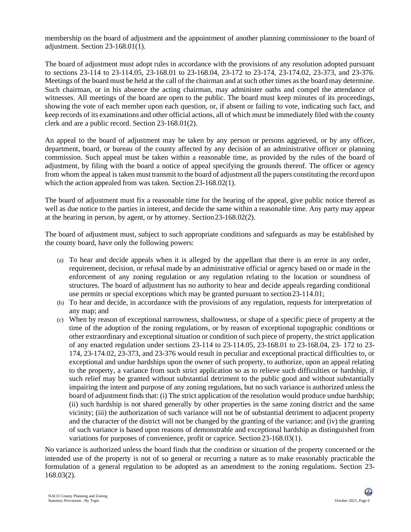membership on the board of adjustment and the appointment of another planning commissioner to the board of adjustment. Section 23-168.01(1).

The board of adjustment must adopt rules in accordance with the provisions of any resolution adopted pursuant to sections 23-114 to 23-114.05, 23-168.01 to 23-168.04, 23-172 to 23-174, 23-174.02, 23-373, and 23-376. Meetings of the board must be held at the call of the chairman and at such other times as the board may determine. Such chairman, or in his absence the acting chairman, may administer oaths and compel the attendance of witnesses. All meetings of the board are open to the public. The board must keep minutes of its proceedings, showing the vote of each member upon each question, or, if absent or failing to vote, indicating such fact, and keep records of its examinations and other official actions, all of which must be immediately filed with the county clerk and are a public record. Section 23-168.01(2).

An appeal to the board of adjustment may be taken by any person or persons aggrieved, or by any officer, department, board, or bureau of the county affected by any decision of an administrative officer or planning commission. Such appeal must be taken within a reasonable time, as provided by the rules of the board of adjustment, by filing with the board a notice of appeal specifying the grounds thereof. The officer or agency from whom the appeal is taken must transmit to the board of adjustment all the papers constituting the record upon which the action appealed from was taken. Section 23-168.02(1).

The board of adjustment must fix a reasonable time for the hearing of the appeal, give public notice thereof as well as due notice to the parties in interest, and decide the same within a reasonable time. Any party may appear at the hearing in person, by agent, or by attorney. Section23-168.02(2).

The board of adjustment must, subject to such appropriate conditions and safeguards as may be established by the county board, have only the following powers:

- (a) To hear and decide appeals when it is alleged by the appellant that there is an error in any order, requirement, decision, or refusal made by an administrative official or agency based on or made in the enforcement of any zoning regulation or any regulation relating to the location or soundness of structures. The board of adjustment has no authority to hear and decide appeals regarding conditional use permits or special exceptions which may be granted pursuant to section23-114.01;
- (b) To hear and decide, in accordance with the provisions of any regulation, requests for interpretation of any map; and
- (c) When by reason of exceptional narrowness, shallowness, or shape of a specific piece of property at the time of the adoption of the zoning regulations, or by reason of exceptional topographic conditions or other extraordinary and exceptional situation or condition of such piece of property, the strict application of any enacted regulation under sections 23-114 to 23-114.05, 23-168.01 to 23-168.04, 23- 172 to 23- 174, 23-174.02, 23-373, and 23-376 would result in peculiar and exceptional practical difficulties to, or exceptional and undue hardships upon the owner of such property, to authorize, upon an appeal relating to the property, a variance from such strict application so as to relieve such difficulties or hardship, if such relief may be granted without substantial detriment to the public good and without substantially impairing the intent and purpose of any zoning regulations, but no such variance is authorized unless the board of adjustment finds that: (i) The strict application of the resolution would produce undue hardship; (ii) such hardship is not shared generally by other properties in the same zoning district and the same vicinity; (iii) the authorization of such variance will not be of substantial detriment to adjacent property and the character of the district will not be changed by the granting of the variance; and (iv) the granting of such variance is based upon reasons of demonstrable and exceptional hardship as distinguished from variations for purposes of convenience, profit or caprice. Section 23-168.03(1).

No variance is authorized unless the board finds that the condition or situation of the property concerned or the intended use of the property is not of so general or recurring a nature as to make reasonably practicable the formulation of a general regulation to be adopted as an amendment to the zoning regulations. Section 23- 168.03(2).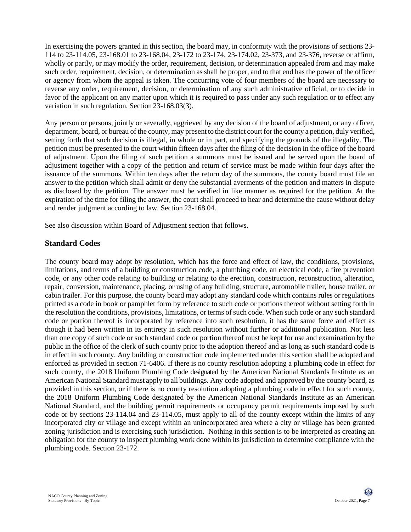In exercising the powers granted in this section, the board may, in conformity with the provisions of sections 23- 114 to 23-114.05, 23-168.01 to 23-168.04, 23-172 to 23-174, 23-174.02, 23-373, and 23-376, reverse or affirm, wholly or partly, or may modify the order, requirement, decision, or determination appealed from and may make such order, requirement, decision, or determination as shall be proper, and to that end has the power of the officer or agency from whom the appeal is taken. The concurring vote of four members of the board are necessary to reverse any order, requirement, decision, or determination of any such administrative official, or to decide in favor of the applicant on any matter upon which it is required to pass under any such regulation or to effect any variation in such regulation. Section 23-168.03(3).

Any person or persons, jointly or severally, aggrieved by any decision of the board of adjustment, or any officer, department, board, or bureau of the county, may present to the district court for the county a petition, duly verified, setting forth that such decision is illegal, in whole or in part, and specifying the grounds of the illegality. The petition must be presented to the court within fifteen days after the filing of the decision in the office of the board of adjustment. Upon the filing of such petition a summons must be issued and be served upon the board of adjustment together with a copy of the petition and return of service must be made within four days after the issuance of the summons. Within ten days after the return day of the summons, the county board must file an answer to the petition which shall admit or deny the substantial averments of the petition and matters in dispute as disclosed by the petition. The answer must be verified in like manner as required for the petition. At the expiration of the time for filing the answer, the court shall proceed to hear and determine the cause without delay and render judgment according to law. Section 23-168.04.

See also discussion within Board of Adjustment section that follows.

#### **Standard Codes**

The county board may adopt by resolution, which has the force and effect of law, the conditions, provisions, limitations, and terms of a building or construction code, a plumbing code, an electrical code, a fire prevention code, or any other code relating to building or relating to the erection, construction, reconstruction, alteration, repair, conversion, maintenance, placing, or using of any building, structure, automobile trailer, house trailer, or cabin trailer. For this purpose, the county board may adopt any standard code which contains rules or regulations printed as a code in book or pamphlet form by reference to such code or portions thereof without setting forth in the resolution the conditions, provisions, limitations, or terms of such code. When such code or any such standard code or portion thereof is incorporated by reference into such resolution, it has the same force and effect as though it had been written in its entirety in such resolution without further or additional publication. Not less than one copy of such code or such standard code or portion thereof must be kept for use and examination by the public in the office of the clerk of such county prior to the adoption thereof and as long as such standard code is in effect in such county. Any building or construction code implemented under this section shall be adopted and enforced as provided in section 71-6406. If there is no county resolution adopting a plumbing code in effect for such county, the 2018 Uniform Plumbing Code designated by the American National Standards Institute as an American National Standard must apply to all buildings. Any code adopted and approved by the county board, as provided in this section, or if there is no county resolution adopting a plumbing code in effect for such county, the 2018 Uniform Plumbing Code designated by the American National Standards Institute as an American National Standard, and the building permit requirements or occupancy permit requirements imposed by such code or by sections 23-114.04 and 23-114.05, must apply to all of the county except within the limits of any incorporated city or village and except within an unincorporated area where a city or village has been granted zoning jurisdiction and is exercising such jurisdiction. Nothing in this section is to be interpreted as creating an obligation for the county to inspect plumbing work done within its jurisdiction to determine compliance with the plumbing code. Section 23-172.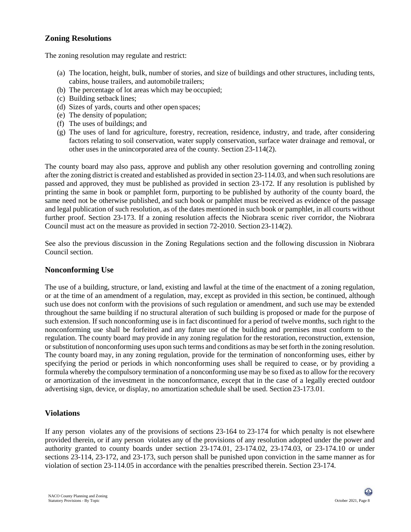### **Zoning Resolutions**

The zoning resolution may regulate and restrict:

- (a) The location, height, bulk, number of stories, and size of buildings and other structures, including tents, cabins, house trailers, and automobile trailers;
- (b) The percentage of lot areas which may be occupied;
- (c) Building setback lines;
- (d) Sizes of yards, courts and other open spaces;
- (e) The density of population;
- (f) The uses of buildings; and
- (g) The uses of land for agriculture, forestry, recreation, residence, industry, and trade, after considering factors relating to soil conservation, water supply conservation, surface water drainage and removal, or other uses in the unincorporated area of the county. Section 23-114(2).

The county board may also pass, approve and publish any other resolution governing and controlling zoning after the zoning district is created and established as provided in section 23-114.03, and when such resolutions are passed and approved, they must be published as provided in section 23-172. If any resolution is published by printing the same in book or pamphlet form, purporting to be published by authority of the county board, the same need not be otherwise published, and such book or pamphlet must be received as evidence of the passage and legal publication of such resolution, as of the dates mentioned in such book or pamphlet, in all courts without further proof. Section 23-173. If a zoning resolution affects the Niobrara scenic river corridor, the Niobrara Council must act on the measure as provided in section 72-2010. Section 23-114(2).

See also the previous discussion in the Zoning Regulations section and the following discussion in Niobrara Council section.

#### **Nonconforming Use**

The use of a building, structure, or land, existing and lawful at the time of the enactment of a zoning regulation, or at the time of an amendment of a regulation, may, except as provided in this section, be continued, although such use does not conform with the provisions of such regulation or amendment, and such use may be extended throughout the same building if no structural alteration of such building is proposed or made for the purpose of such extension. If such nonconforming use is in fact discontinued for a period of twelve months, such right to the nonconforming use shall be forfeited and any future use of the building and premises must conform to the regulation. The county board may provide in any zoning regulation for the restoration, reconstruction, extension, orsubstitution of nonconforming uses upon such terms and conditions as may be set forth in the zoning resolution. The county board may, in any zoning regulation, provide for the termination of nonconforming uses, either by specifying the period or periods in which nonconforming uses shall be required to cease, or by providing a formula whereby the compulsory termination of a nonconforming use may be so fixed as to allow for the recovery or amortization of the investment in the nonconformance, except that in the case of a legally erected outdoor advertising sign, device, or display, no amortization schedule shall be used. Section 23-173.01.

#### **Violations**

If any person violates any of the provisions of sections 23-164 to 23-174 for which penalty is not elsewhere provided therein, or if any person violates any of the provisions of any resolution adopted under the power and authority granted to county boards under section 23-174.01, 23-174.02, 23-174.03, or 23-174.10 or under sections 23-114, 23-172, and 23-173, such person shall be punished upon conviction in the same manner as for violation of section 23-114.05 in accordance with the penalties prescribed therein. Section 23-174.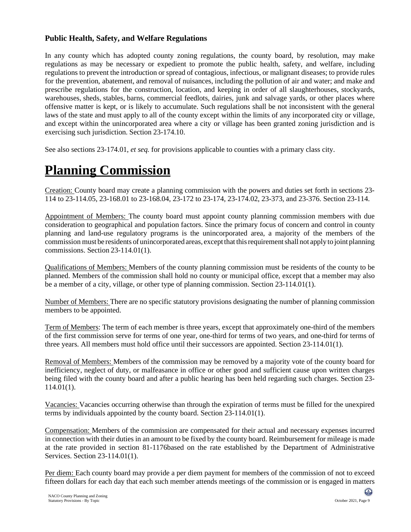## **Public Health, Safety, and Welfare Regulations**

In any county which has adopted county zoning regulations, the county board, by resolution, may make regulations as may be necessary or expedient to promote the public health, safety, and welfare, including regulations to prevent the introduction or spread of contagious, infectious, or malignant diseases; to provide rules for the prevention, abatement, and removal of nuisances, including the pollution of air and water; and make and prescribe regulations for the construction, location, and keeping in order of all slaughterhouses, stockyards, warehouses, sheds, stables, barns, commercial feedlots, dairies, junk and salvage yards, or other places where offensive matter is kept, or is likely to accumulate. Such regulations shall be not inconsistent with the general laws of the state and must apply to all of the county except within the limits of any incorporated city or village, and except within the unincorporated area where a city or village has been granted zoning jurisdiction and is exercising such jurisdiction. Section 23-174.10.

See also sections 23-174.01, *et seq.* for provisions applicable to counties with a primary class city.

## **Planning Commission**

Creation: County board may create a planning commission with the powers and duties set forth in sections 23- 114 to 23-114.05, 23-168.01 to 23-168.04, 23-172 to 23-174, 23-174.02, 23-373, and 23-376. Section 23-114.

Appointment of Members: The county board must appoint county planning commission members with due consideration to geographical and population factors. Since the primary focus of concern and control in county planning and land-use regulatory programs is the unincorporated area, a majority of the members of the commission must be residents of unincorporated areas, exceptthat thisrequirementshall not apply to joint planning commissions. Section 23-114.01(1).

Qualifications of Members: Members of the county planning commission must be residents of the county to be planned. Members of the commission shall hold no county or municipal office, except that a member may also be a member of a city, village, or other type of planning commission. Section 23-114.01(1).

Number of Members: There are no specific statutory provisions designating the number of planning commission members to be appointed.

Term of Members: The term of each member is three years, except that approximately one-third of the members of the first commission serve for terms of one year, one-third for terms of two years, and one-third for terms of three years. All members must hold office until their successors are appointed. Section 23-114.01(1).

Removal of Members: Members of the commission may be removed by a majority vote of the county board for inefficiency, neglect of duty, or malfeasance in office or other good and sufficient cause upon written charges being filed with the county board and after a public hearing has been held regarding such charges. Section 23- 114.01(1).

Vacancies: Vacancies occurring otherwise than through the expiration of terms must be filled for the unexpired terms by individuals appointed by the county board. Section 23-114.01(1).

Compensation: Members of the commission are compensated for their actual and necessary expenses incurred in connection with their duties in an amount to be fixed by the county board. Reimbursement for mileage is made at the rate provided in section 81-1176based on the rate established by the Department of Administrative Services. Section 23-114.01(1).

Per diem: Each county board may provide a per diem payment for members of the commission of not to exceed fifteen dollars for each day that each such member attends meetings of the commission or is engaged in matters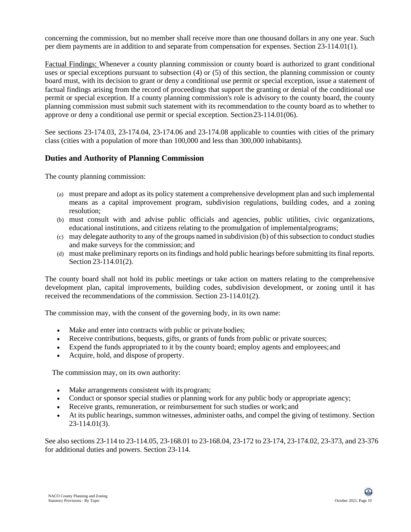concerning the commission, but no member shall receive more than one thousand dollars in any one year. Such per diem payments are in addition to and separate from compensation for expenses. Section 23-114.01(1).

Factual Findings: Whenever a county planning commission or county board is authorized to grant conditional uses or special exceptions pursuant to subsection (4) or (5) of this section, the planning commission or county board must, with its decision to grant or deny a conditional use permit or special exception, issue a statement of factual findings arising from the record of proceedings that support the granting or denial of the conditional use permit or special exception. If a county planning commission's role is advisory to the county board, the county planning commission must submit such statement with its recommendation to the county board as to whether to approve or deny a conditional use permit or special exception. Section23-114.01(06).

See sections 23-174.03, 23-174.04, 23-174.06 and 23-174.08 applicable to counties with cities of the primary class (cities with a population of more than 100,000 and less than 300,000 inhabitants).

#### **Duties and Authority of Planning Commission**

The county planning commission:

- (a) must prepare and adopt as its policy statement a comprehensive development plan and such implemental means as a capital improvement program, subdivision regulations, building codes, and a zoning resolution;
- (b) must consult with and advise public officials and agencies, public utilities, civic organizations, educational institutions, and citizens relating to the promulgation of implementalprograms;
- (c) may delegate authority to any of the groups named in subdivision (b) of this subsection to conduct studies and make surveys for the commission; and
- (d) must make preliminary reports on its findings and hold public hearings before submitting its final reports. Section 23-114.01(2).

The county board shall not hold its public meetings or take action on matters relating to the comprehensive development plan, capital improvements, building codes, subdivision development, or zoning until it has received the recommendations of the commission. Section 23-114.01(2).

The commission may, with the consent of the governing body, in its own name:

- Make and enter into contracts with public or private bodies;
- Receive contributions, bequests, gifts, or grants of funds from public or private sources;
- Expend the funds appropriated to it by the county board; employ agents and employees;and
- Acquire, hold, and dispose of property.

The commission may, on its own authority:

- Make arrangements consistent with its program:
- Conduct or sponsor special studies or planning work for any public body or appropriate agency;
- Receive grants, remuneration, or reimbursement for such studies or work; and
- At its public hearings, summon witnesses, administer oaths, and compel the giving of testimony. Section 23-114.01(3).

See also sections 23-114 to 23-114.05, 23-168.01 to 23-168.04, 23-172 to 23-174, 23-174.02, 23-373, and 23-376 for additional duties and powers. Section 23-114.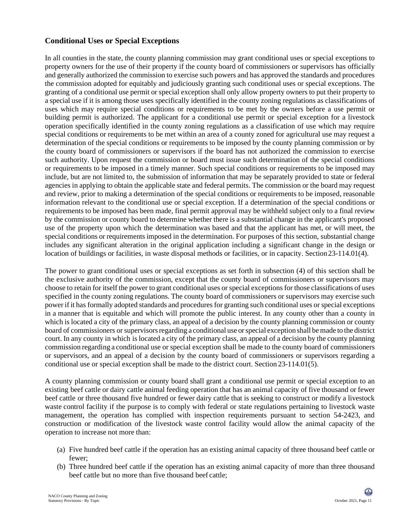## **Conditional Uses or Special Exceptions**

In all counties in the state, the county planning commission may grant conditional uses or special exceptions to property owners for the use of their property if the county board of commissioners or supervisors has officially and generally authorized the commission to exercise such powers and has approved the standards and procedures the commission adopted for equitably and judiciously granting such conditional uses or special exceptions. The granting of a conditional use permit or special exception shall only allow property owners to put their property to a special use if it is among those uses specifically identified in the county zoning regulations as classifications of uses which may require special conditions or requirements to be met by the owners before a use permit or building permit is authorized. The applicant for a conditional use permit or special exception for a livestock operation specifically identified in the county zoning regulations as a classification of use which may require special conditions or requirements to be met within an area of a county zoned for agricultural use may request a determination of the special conditions or requirements to be imposed by the county planning commission or by the county board of commissioners or supervisors if the board has not authorized the commission to exercise such authority. Upon request the commission or board must issue such determination of the special conditions or requirements to be imposed in a timely manner. Such special conditions or requirements to be imposed may include, but are not limited to, the submission of information that may be separately provided to state or federal agencies in applying to obtain the applicable state and federal permits. The commission or the board may request and review, prior to making a determination of the special conditions or requirements to be imposed, reasonable information relevant to the conditional use or special exception. If a determination of the special conditions or requirements to be imposed has been made, final permit approval may be withheld subject only to a final review by the commission or county board to determine whether there is a substantial change in the applicant's proposed use of the property upon which the determination was based and that the applicant has met, or will meet, the special conditions or requirements imposed in the determination. For purposes of this section, substantial change includes any significant alteration in the original application including a significant change in the design or location of buildings or facilities, in waste disposal methods or facilities, or in capacity. Section 23-114.01(4).

The power to grant conditional uses or special exceptions as set forth in subsection (4) of this section shall be the exclusive authority of the commission, except that the county board of commissioners or supervisors may choose to retain for itself the power to grant conditional uses or special exceptions for those classifications of uses specified in the county zoning regulations. The county board of commissioners or supervisors may exercise such power if it has formally adopted standards and procedures for granting such conditional uses or special exceptions in a manner that is equitable and which will promote the public interest. In any county other than a county in which is located a city of the primary class, an appeal of a decision by the county planning commission or county board of commissioners or supervisorsregarding a conditional use orspecial exception shall bemade to the district court. In any county in which is located a city of the primary class, an appeal of a decision by the county planning commission regarding a conditional use or special exception shall be made to the county board of commissioners or supervisors, and an appeal of a decision by the county board of commissioners or supervisors regarding a conditional use or special exception shall be made to the district court. Section 23-114.01(5).

A county planning commission or county board shall grant a conditional use permit or special exception to an existing beef cattle or dairy cattle animal feeding operation that has an animal capacity of five thousand or fewer beef cattle or three thousand five hundred or fewer dairy cattle that is seeking to construct or modify a livestock waste control facility if the purpose is to comply with federal or state regulations pertaining to livestock waste management, the operation has complied with inspection requirements pursuant to section 54-2423, and construction or modification of the livestock waste control facility would allow the animal capacity of the operation to increase not more than:

- (a) Five hundred beef cattle if the operation has an existing animal capacity of three thousand beef cattle or fewer;
- (b) Three hundred beef cattle if the operation has an existing animal capacity of more than three thousand beef cattle but no more than five thousand beef cattle;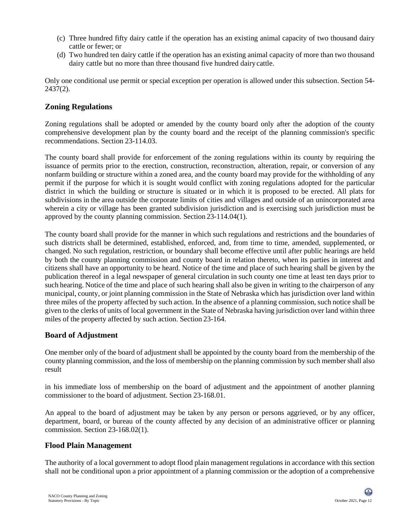- (c) Three hundred fifty dairy cattle if the operation has an existing animal capacity of two thousand dairy cattle or fewer; or
- (d) Two hundred ten dairy cattle if the operation has an existing animal capacity of more than two thousand dairy cattle but no more than three thousand five hundred dairycattle.

Only one conditional use permit or special exception per operation is allowed under this subsection. Section 54- 2437(2).

#### **Zoning Regulations**

Zoning regulations shall be adopted or amended by the county board only after the adoption of the county comprehensive development plan by the county board and the receipt of the planning commission's specific recommendations. Section 23-114.03.

The county board shall provide for enforcement of the zoning regulations within its county by requiring the issuance of permits prior to the erection, construction, reconstruction, alteration, repair, or conversion of any nonfarm building or structure within a zoned area, and the county board may provide for the withholding of any permit if the purpose for which it is sought would conflict with zoning regulations adopted for the particular district in which the building or structure is situated or in which it is proposed to be erected. All plats for subdivisions in the area outside the corporate limits of cities and villages and outside of an unincorporated area wherein a city or village has been granted subdivision jurisdiction and is exercising such jurisdiction must be approved by the county planning commission. Section 23-114.04(1).

The county board shall provide for the manner in which such regulations and restrictions and the boundaries of such districts shall be determined, established, enforced, and, from time to time, amended, supplemented, or changed. No such regulation, restriction, or boundary shall become effective until after public hearings are held by both the county planning commission and county board in relation thereto, when its parties in interest and citizens shall have an opportunity to be heard. Notice of the time and place of such hearing shall be given by the publication thereof in a legal newspaper of general circulation in such county one time at least ten days prior to such hearing. Notice of the time and place of such hearing shall also be given in writing to the chairperson of any municipal, county, or joint planning commission in the State of Nebraska which has jurisdiction over land within three miles of the property affected by such action. In the absence of a planning commission, such notice shall be given to the clerks of units of local government in the State of Nebraska having jurisdiction over land within three miles of the property affected by such action. Section 23-164.

#### **Board of Adjustment**

One member only of the board of adjustment shall be appointed by the county board from the membership of the county planning commission, and the loss of membership on the planning commission by such member shall also result

in his immediate loss of membership on the board of adjustment and the appointment of another planning commissioner to the board of adjustment. Section 23-168.01.

An appeal to the board of adjustment may be taken by any person or persons aggrieved, or by any officer, department, board, or bureau of the county affected by any decision of an administrative officer or planning commission. Section 23-168.02(1).

#### **Flood Plain Management**

The authority of a local government to adopt flood plain management regulations in accordance with this section shall not be conditional upon a prior appointment of a planning commission or the adoption of a comprehensive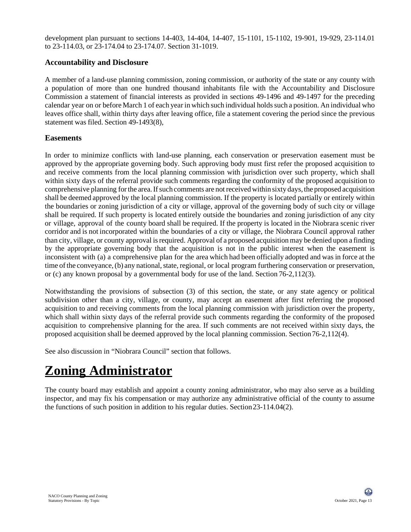development plan pursuant to sections 14-403, 14-404, 14-407, 15-1101, 15-1102, 19-901, 19-929, 23-114.01 to 23-114.03, or 23-174.04 to 23-174.07. Section 31-1019.

#### **Accountability and Disclosure**

A member of a land-use planning commission, zoning commission, or authority of the state or any county with a population of more than one hundred thousand inhabitants file with the Accountability and Disclosure Commission a statement of financial interests as provided in sections 49-1496 and 49-1497 for the preceding calendar year on or before March 1 of each year in which such individual holdssuch a position. An individual who leaves office shall, within thirty days after leaving office, file a statement covering the period since the previous statement was filed. Section 49-1493(8),

#### **Easements**

In order to minimize conflicts with land-use planning, each conservation or preservation easement must be approved by the appropriate governing body. Such approving body must first refer the proposed acquisition to and receive comments from the local planning commission with jurisdiction over such property, which shall within sixty days of the referral provide such comments regarding the conformity of the proposed acquisition to comprehensive planning for the area. If such comments are not received within sixty days, the proposed acquisition shall be deemed approved by the local planning commission. If the property is located partially or entirely within the boundaries or zoning jurisdiction of a city or village, approval of the governing body of such city or village shall be required. If such property is located entirely outside the boundaries and zoning jurisdiction of any city or village, approval of the county board shall be required. If the property is located in the Niobrara scenic river corridor and is not incorporated within the boundaries of a city or village, the Niobrara Council approval rather than city, village, or county approval isrequired. Approval of a proposed acquisition may be denied upon a finding by the appropriate governing body that the acquisition is not in the public interest when the easement is inconsistent with (a) a comprehensive plan for the area which had been officially adopted and was in force at the time of the conveyance, (b) any national, state, regional, or local program furthering conservation or preservation, or (c) any known proposal by a governmental body for use of the land. Section 76-2,112(3).

Notwithstanding the provisions of subsection (3) of this section, the state, or any state agency or political subdivision other than a city, village, or county, may accept an easement after first referring the proposed acquisition to and receiving comments from the local planning commission with jurisdiction over the property, which shall within sixty days of the referral provide such comments regarding the conformity of the proposed acquisition to comprehensive planning for the area. If such comments are not received within sixty days, the proposed acquisition shall be deemed approved by the local planning commission. Section76-2,112(4).

See also discussion in "Niobrara Council" section that follows.

## **Zoning Administrator**

The county board may establish and appoint a county zoning administrator, who may also serve as a building inspector, and may fix his compensation or may authorize any administrative official of the county to assume the functions of such position in addition to his regular duties. Section23-114.04(2).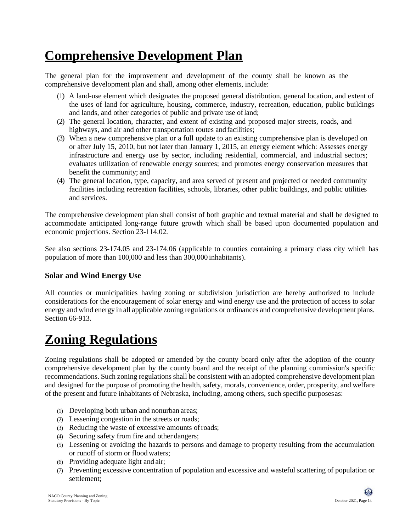## **Comprehensive Development Plan**

The general plan for the improvement and development of the county shall be known as the comprehensive development plan and shall, among other elements, include:

- (1) A land-use element which designates the proposed general distribution, general location, and extent of the uses of land for agriculture, housing, commerce, industry, recreation, education, public buildings and lands, and other categories of public and private use ofland;
- (2) The general location, character, and extent of existing and proposed major streets, roads, and highways, and air and other transportation routes and facilities;
- (3) When a new comprehensive plan or a full update to an existing comprehensive plan is developed on or after July 15, 2010, but not later than January 1, 2015, an energy element which: Assesses energy infrastructure and energy use by sector, including residential, commercial, and industrial sectors; evaluates utilization of renewable energy sources; and promotes energy conservation measures that benefit the community; and
- (4) The general location, type, capacity, and area served of present and projected or needed community facilities including recreation facilities, schools, libraries, other public buildings, and public utilities and services.

The comprehensive development plan shall consist of both graphic and textual material and shall be designed to accommodate anticipated long-range future growth which shall be based upon documented population and economic projections. Section 23-114.02.

See also sections 23-174.05 and 23-174.06 (applicable to counties containing a primary class city which has population of more than 100,000 and less than 300,000 inhabitants).

## **Solar and Wind Energy Use**

All counties or municipalities having zoning or subdivision jurisdiction are hereby authorized to include considerations for the encouragement of solar energy and wind energy use and the protection of access to solar energy and wind energy in all applicable zoning regulations or ordinances and comprehensive development plans. Section 66-913.

## **Zoning Regulations**

Zoning regulations shall be adopted or amended by the county board only after the adoption of the county comprehensive development plan by the county board and the receipt of the planning commission's specific recommendations. Such zoning regulations shall be consistent with an adopted comprehensive development plan and designed for the purpose of promoting the health, safety, morals, convenience, order, prosperity, and welfare of the present and future inhabitants of Nebraska, including, among others, such specific purposesas:

- (1) Developing both urban and nonurban areas;
- (2) Lessening congestion in the streets or roads;
- (3) Reducing the waste of excessive amounts ofroads;
- (4) Securing safety from fire and other dangers;
- (5) Lessening or avoiding the hazards to persons and damage to property resulting from the accumulation or runoff of storm or flood waters;
- (6) Providing adequate light and air;
- (7) Preventing excessive concentration of population and excessive and wasteful scattering of population or settlement;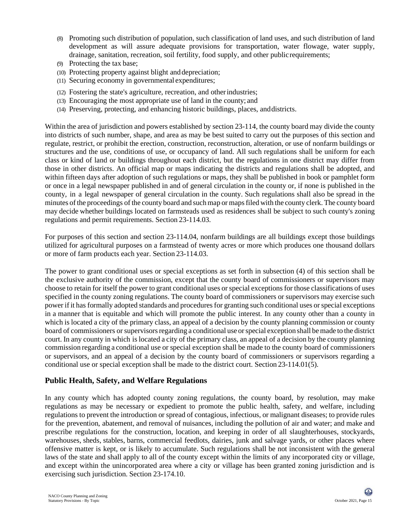- (8) Promoting such distribution of population, such classification of land uses, and such distribution of land development as will assure adequate provisions for transportation, water flowage, water supply, drainage, sanitation, recreation, soil fertility, food supply, and other publicrequirements;
- (9) Protecting the tax base;
- (10) Protecting property against blight anddepreciation;
- (11) Securing economy in governmental expenditures;
- (12) Fostering the state's agriculture, recreation, and otherindustries;
- (13) Encouraging the most appropriate use of land in the county; and
- (14) Preserving, protecting, and enhancing historic buildings, places, anddistricts.

Within the area of jurisdiction and powers established by section 23-114, the county board may divide the county into districts of such number, shape, and area as may be best suited to carry out the purposes of this section and regulate, restrict, or prohibit the erection, construction, reconstruction, alteration, or use of nonfarm buildings or structures and the use, conditions of use, or occupancy of land. All such regulations shall be uniform for each class or kind of land or buildings throughout each district, but the regulations in one district may differ from those in other districts. An official map or maps indicating the districts and regulations shall be adopted, and within fifteen days after adoption of such regulations or maps, they shall be published in book or pamphlet form or once in a legal newspaper published in and of general circulation in the county or, if none is published in the county, in a legal newspaper of general circulation in the county. Such regulations shall also be spread in the minutes ofthe proceedings of the county board and suchmap or mapsfiled with the county clerk.The county board may decide whether buildings located on farmsteads used as residences shall be subject to such county's zoning regulations and permit requirements. Section 23-114.03.

For purposes of this section and section 23-114.04, nonfarm buildings are all buildings except those buildings utilized for agricultural purposes on a farmstead of twenty acres or more which produces one thousand dollars or more of farm products each year. Section 23-114.03.

The power to grant conditional uses or special exceptions as set forth in subsection (4) of this section shall be the exclusive authority of the commission, except that the county board of commissioners or supervisors may choose to retain for itself the power to grant conditional uses or special exceptions for those classifications of uses specified in the county zoning regulations. The county board of commissioners or supervisors may exercise such power if it has formally adopted standards and procedures for granting such conditional uses or special exceptions in a manner that is equitable and which will promote the public interest. In any county other than a county in which is located a city of the primary class, an appeal of a decision by the county planning commission or county board of commissioners or supervisors regarding a conditional use or special exception shall be made to the district court. In any county in which is located a city of the primary class, an appeal of a decision by the county planning commission regarding a conditional use or special exception shall be made to the county board of commissioners or supervisors, and an appeal of a decision by the county board of commissioners or supervisors regarding a conditional use or special exception shall be made to the district court. Section 23-114.01(5).

#### **Public Health, Safety, and Welfare Regulations**

In any county which has adopted county zoning regulations, the county board, by resolution, may make regulations as may be necessary or expedient to promote the public health, safety, and welfare, including regulations to prevent the introduction or spread of contagious, infectious, or malignant diseases; to provide rules for the prevention, abatement, and removal of nuisances, including the pollution of air and water; and make and prescribe regulations for the construction, location, and keeping in order of all slaughterhouses, stockyards, warehouses, sheds, stables, barns, commercial feedlots, dairies, junk and salvage yards, or other places where offensive matter is kept, or is likely to accumulate. Such regulations shall be not inconsistent with the general laws of the state and shall apply to all of the county except within the limits of any incorporated city or village, and except within the unincorporated area where a city or village has been granted zoning jurisdiction and is exercising such jurisdiction. Section 23-174.10.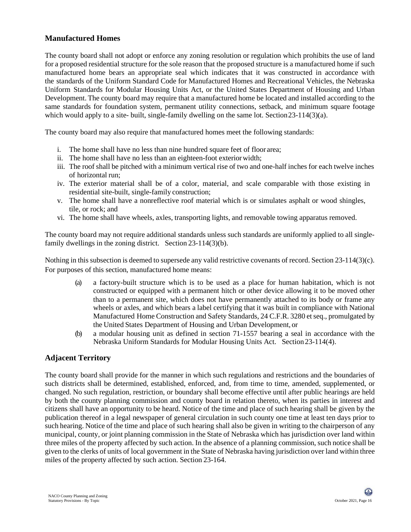#### **Manufactured Homes**

The county board shall not adopt or enforce any zoning resolution or regulation which prohibits the use of land for a proposed residential structure for the sole reason that the proposed structure is a manufactured home if such manufactured home bears an appropriate seal which indicates that it was constructed in accordance with the standards of the Uniform Standard Code for Manufactured Homes and Recreational Vehicles, the Nebraska Uniform Standards for Modular Housing Units Act, or the United States Department of Housing and Urban Development. The county board may require that a manufactured home be located and installed according to the same standards for foundation system, permanent utility connections, setback, and minimum square footage which would apply to a site- built, single-family dwelling on the same lot. Section 23-114(3)(a).

The county board may also require that manufactured homes meet the following standards:

- i. The home shall have no less than nine hundred square feet of floor area;
- ii. The home shall have no less than an eighteen-foot exteriorwidth;
- iii. The roof shall be pitched with a minimum vertical rise of two and one-half inches for each twelve inches of horizontal run;
- iv. The exterior material shall be of a color, material, and scale comparable with those existing in residential site-built, single-family construction;
- v. The home shall have a nonreflective roof material which is or simulates asphalt or wood shingles, tile, or rock; and
- vi. The home shall have wheels, axles, transporting lights, and removable towing apparatus removed.

The county board may not require additional standards unless such standards are uniformly applied to all singlefamily dwellings in the zoning district. Section 23-114(3)(b).

Nothing in this subsection is deemed to supersede any valid restrictive covenants of record. Section 23-114(3)(c). For purposes of this section, manufactured home means:

- (a) a factory-built structure which is to be used as a place for human habitation, which is not constructed or equipped with a permanent hitch or other device allowing it to be moved other than to a permanent site, which does not have permanently attached to its body or frame any wheels or axles, and which bears a label certifying that it was built in compliance with National Manufactured Home Construction and Safety Standards, 24 C.F.R. 3280 etseq., promulgated by the United States Department of Housing and Urban Development, or
- (b) a modular housing unit as defined in section 71-1557 bearing a seal in accordance with the Nebraska Uniform Standards for Modular Housing Units Act. Section23-114(4).

## **Adjacent Territory**

The county board shall provide for the manner in which such regulations and restrictions and the boundaries of such districts shall be determined, established, enforced, and, from time to time, amended, supplemented, or changed. No such regulation, restriction, or boundary shall become effective until after public hearings are held by both the county planning commission and county board in relation thereto, when its parties in interest and citizens shall have an opportunity to be heard. Notice of the time and place of such hearing shall be given by the publication thereof in a legal newspaper of general circulation in such county one time at least ten days prior to such hearing. Notice of the time and place of such hearing shall also be given in writing to the chairperson of any municipal, county, or joint planning commission in the State of Nebraska which has jurisdiction over land within three miles of the property affected by such action. In the absence of a planning commission, such notice shall be given to the clerks of units of local government in the State of Nebraska having jurisdiction over land within three miles of the property affected by such action. Section 23-164.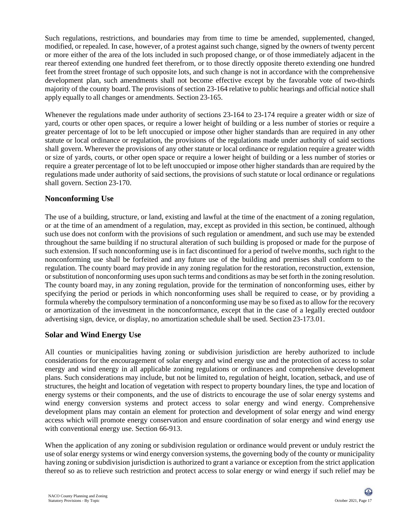Such regulations, restrictions, and boundaries may from time to time be amended, supplemented, changed, modified, or repealed. In case, however, of a protest against such change, signed by the owners of twenty percent or more either of the area of the lots included in such proposed change, or of those immediately adjacent in the rear thereof extending one hundred feet therefrom, or to those directly opposite thereto extending one hundred feet fromthe street frontage of such opposite lots, and such change is not in accordance with the comprehensive development plan, such amendments shall not become effective except by the favorable vote of two-thirds majority of the county board. The provisions of section 23-164 relative to public hearings and official notice shall apply equally to all changes or amendments. Section 23-165.

Whenever the regulations made under authority of sections 23-164 to 23-174 require a greater width or size of yard, courts or other open spaces, or require a lower height of building or a less number of stories or require a greater percentage of lot to be left unoccupied or impose other higher standards than are required in any other statute or local ordinance or regulation, the provisions of the regulations made under authority of said sections shall govern. Wherever the provisions of any other statute or local ordinance or regulation require a greater width or size of yards, courts, or other open space or require a lower height of building or a less number of stories or require a greater percentage of lot to be left unoccupied or impose other higher standards than are required by the regulations made under authority of said sections, the provisions of such statute or local ordinance or regulations shall govern. Section 23-170.

#### **Nonconforming Use**

The use of a building, structure, or land, existing and lawful at the time of the enactment of a zoning regulation, or at the time of an amendment of a regulation, may, except as provided in this section, be continued, although such use does not conform with the provisions of such regulation or amendment, and such use may be extended throughout the same building if no structural alteration of such building is proposed or made for the purpose of such extension. If such nonconforming use is in fact discontinued for a period of twelve months, such right to the nonconforming use shall be forfeited and any future use of the building and premises shall conform to the regulation. The county board may provide in any zoning regulation for the restoration, reconstruction, extension, orsubstitution of nonconforming uses upon such terms and conditions as may be set forth in the zoning resolution. The county board may, in any zoning regulation, provide for the termination of nonconforming uses, either by specifying the period or periods in which nonconforming uses shall be required to cease, or by providing a formula whereby the compulsory termination of a nonconforming use may be so fixed as to allow for the recovery or amortization of the investment in the nonconformance, except that in the case of a legally erected outdoor advertising sign, device, or display, no amortization schedule shall be used. Section 23-173.01.

## **Solar and Wind Energy Use**

All counties or municipalities having zoning or subdivision jurisdiction are hereby authorized to include considerations for the encouragement of solar energy and wind energy use and the protection of access to solar energy and wind energy in all applicable zoning regulations or ordinances and comprehensive development plans. Such considerations may include, but not be limited to, regulation of height, location, setback, and use of structures, the height and location of vegetation with respect to property boundary lines, the type and location of energy systems or their components, and the use of districts to encourage the use of solar energy systems and wind energy conversion systems and protect access to solar energy and wind energy. Comprehensive development plans may contain an element for protection and development of solar energy and wind energy access which will promote energy conservation and ensure coordination of solar energy and wind energy use with conventional energy use. Section 66-913.

When the application of any zoning or subdivision regulation or ordinance would prevent or unduly restrict the use of solar energy systems or wind energy conversion systems, the governing body of the county or municipality having zoning or subdivision jurisdiction is authorized to grant a variance or exception from the strict application thereof so as to relieve such restriction and protect access to solar energy or wind energy if such relief may be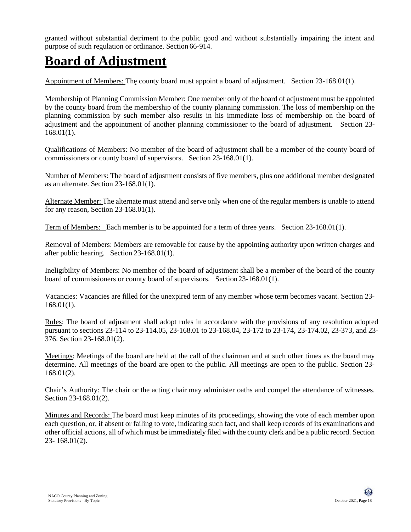granted without substantial detriment to the public good and without substantially impairing the intent and purpose of such regulation or ordinance. Section 66-914.

## **Board of Adjustment**

Appointment of Members: The county board must appoint a board of adjustment. Section 23-168.01(1).

Membership of Planning Commission Member: One member only of the board of adjustment must be appointed by the county board from the membership of the county planning commission. The loss of membership on the planning commission by such member also results in his immediate loss of membership on the board of adjustment and the appointment of another planning commissioner to the board of adjustment. Section 23- 168.01(1).

Qualifications of Members: No member of the board of adjustment shall be a member of the county board of commissioners or county board of supervisors. Section 23-168.01(1).

Number of Members: The board of adjustment consists of five members, plus one additional member designated as an alternate. Section 23-168.01(1).

Alternate Member: The alternate must attend and serve only when one of the regular members is unable to attend for any reason, Section 23-168.01(1).

Term of Members: Each member is to be appointed for a term of three years. Section 23-168.01(1).

Removal of Members: Members are removable for cause by the appointing authority upon written charges and after public hearing. Section 23-168.01(1).

Ineligibility of Members: No member of the board of adjustment shall be a member of the board of the county board of commissioners or county board of supervisors. Section23-168.01(1).

Vacancies: Vacancies are filled for the unexpired term of any member whose term becomes vacant. Section 23- 168.01(1).

Rules: The board of adjustment shall adopt rules in accordance with the provisions of any resolution adopted pursuant to sections 23-114 to 23-114.05, 23-168.01 to 23-168.04, 23-172 to 23-174, 23-174.02, 23-373, and 23- 376. Section 23-168.01(2).

Meetings: Meetings of the board are held at the call of the chairman and at such other times as the board may determine. All meetings of the board are open to the public. All meetings are open to the public. Section 23- 168.01(2).

Chair's Authority: The chair or the acting chair may administer oaths and compel the attendance of witnesses. Section 23-168.01(2).

Minutes and Records: The board must keep minutes of its proceedings, showing the vote of each member upon each question, or, if absent or failing to vote, indicating such fact, and shall keep records of its examinations and other official actions, all of which must be immediately filed with the county clerk and be a public record. Section 23- 168.01(2).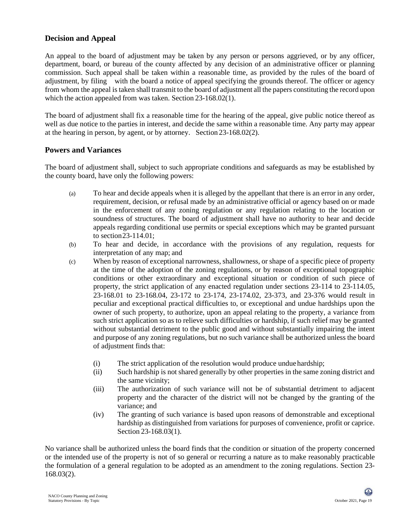## **Decision and Appeal**

An appeal to the board of adjustment may be taken by any person or persons aggrieved, or by any officer, department, board, or bureau of the county affected by any decision of an administrative officer or planning commission. Such appeal shall be taken within a reasonable time, as provided by the rules of the board of adjustment, by filing with the board a notice of appeal specifying the grounds thereof. The officer or agency from whom the appeal is taken shall transmit to the board of adjustment all the papers constituting the record upon which the action appealed from was taken. Section 23-168.02(1).

The board of adjustment shall fix a reasonable time for the hearing of the appeal, give public notice thereof as well as due notice to the parties in interest, and decide the same within a reasonable time. Any party may appear at the hearing in person, by agent, or by attorney. Section 23-168.02(2).

#### **Powers and Variances**

The board of adjustment shall, subject to such appropriate conditions and safeguards as may be established by the county board, have only the following powers:

- (a) To hear and decide appeals when it is alleged by the appellant that there is an error in any order, requirement, decision, or refusal made by an administrative official or agency based on or made in the enforcement of any zoning regulation or any regulation relating to the location or soundness of structures. The board of adjustment shall have no authority to hear and decide appeals regarding conditional use permits or special exceptions which may be granted pursuant to section23-114.01;
- (b) To hear and decide, in accordance with the provisions of any regulation, requests for interpretation of any map; and
- (c) When by reason of exceptional narrowness, shallowness, or shape of a specific piece of property at the time of the adoption of the zoning regulations, or by reason of exceptional topographic conditions or other extraordinary and exceptional situation or condition of such piece of property, the strict application of any enacted regulation under sections 23-114 to 23-114.05, 23-168.01 to 23-168.04, 23-172 to 23-174, 23-174.02, 23-373, and 23-376 would result in peculiar and exceptional practical difficulties to, or exceptional and undue hardships upon the owner of such property, to authorize, upon an appeal relating to the property, a variance from such strict application so as to relieve such difficulties or hardship, if such relief may be granted without substantial detriment to the public good and without substantially impairing the intent and purpose of any zoning regulations, but no such variance shall be authorized unless the board of adjustment finds that:
	- (i) The strict application of the resolution would produce unduehardship;
	- (ii) Such hardship is not shared generally by other properties in the same zoning district and the same vicinity;
	- (iii) The authorization of such variance will not be of substantial detriment to adjacent property and the character of the district will not be changed by the granting of the variance; and
	- (iv) The granting of such variance is based upon reasons of demonstrable and exceptional hardship as distinguished from variations for purposes of convenience, profit or caprice. Section 23-168.03(1).

No variance shall be authorized unless the board finds that the condition or situation of the property concerned or the intended use of the property is not of so general or recurring a nature as to make reasonably practicable the formulation of a general regulation to be adopted as an amendment to the zoning regulations. Section 23- 168.03(2).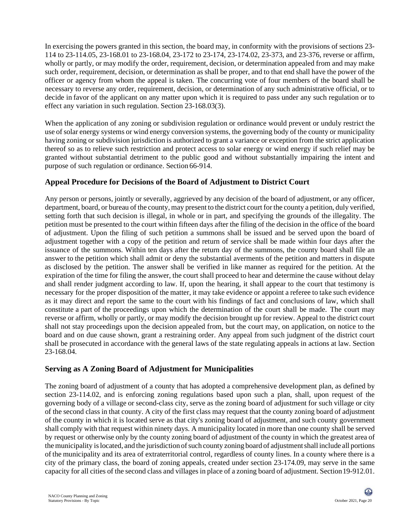In exercising the powers granted in this section, the board may, in conformity with the provisions of sections 23- 114 to 23-114.05, 23-168.01 to 23-168.04, 23-172 to 23-174, 23-174.02, 23-373, and 23-376, reverse or affirm, wholly or partly, or may modify the order, requirement, decision, or determination appealed from and may make such order, requirement, decision, or determination as shall be proper, and to that end shall have the power of the officer or agency from whom the appeal is taken. The concurring vote of four members of the board shall be necessary to reverse any order, requirement, decision, or determination of any such administrative official, or to decide in favor of the applicant on any matter upon which it is required to pass under any such regulation or to effect any variation in such regulation. Section 23-168.03(3).

When the application of any zoning or subdivision regulation or ordinance would prevent or unduly restrict the use of solar energy systems or wind energy conversion systems, the governing body of the county or municipality having zoning or subdivision jurisdiction is authorized to grant a variance or exception from the strict application thereof so as to relieve such restriction and protect access to solar energy or wind energy if such relief may be granted without substantial detriment to the public good and without substantially impairing the intent and purpose of such regulation or ordinance. Section 66-914.

## **Appeal Procedure for Decisions of the Board of Adjustment to District Court**

Any person or persons, jointly or severally, aggrieved by any decision of the board of adjustment, or any officer, department, board, or bureau of the county, may present to the district court for the county a petition, duly verified, setting forth that such decision is illegal, in whole or in part, and specifying the grounds of the illegality. The petition must be presented to the court within fifteen days after the filing of the decision in the office of the board of adjustment. Upon the filing of such petition a summons shall be issued and be served upon the board of adjustment together with a copy of the petition and return of service shall be made within four days after the issuance of the summons. Within ten days after the return day of the summons, the county board shall file an answer to the petition which shall admit or deny the substantial averments of the petition and matters in dispute as disclosed by the petition. The answer shall be verified in like manner as required for the petition. At the expiration of the time for filing the answer, the court shall proceed to hear and determine the cause without delay and shall render judgment according to law. If, upon the hearing, it shall appear to the court that testimony is necessary for the proper disposition of the matter, it may take evidence or appoint a referee to take such evidence as it may direct and report the same to the court with his findings of fact and conclusions of law, which shall constitute a part of the proceedings upon which the determination of the court shall be made. The court may reverse or affirm, wholly or partly, or may modify the decision brought up for review. Appeal to the district court shall not stay proceedings upon the decision appealed from, but the court may, on application, on notice to the board and on due cause shown, grant a restraining order. Any appeal from such judgment of the district court shall be prosecuted in accordance with the general laws of the state regulating appeals in actions at law. Section 23-168.04.

## **Serving as A Zoning Board of Adjustment for Municipalities**

The zoning board of adjustment of a county that has adopted a comprehensive development plan, as defined by section 23-114.02, and is enforcing zoning regulations based upon such a plan, shall, upon request of the governing body of a village or second-class city, serve as the zoning board of adjustment for such village or city of the second class in that county. A city of the first class may request that the county zoning board of adjustment of the county in which it is located serve as that city's zoning board of adjustment, and such county government shall comply with that request within ninety days. A municipality located in more than one county shall be served by request or otherwise only by the county zoning board of adjustment of the county in which the greatest area of the municipality is located, and the jurisdiction of such county zoning board of adjustment shall include all portions of the municipality and its area of extraterritorial control, regardless of county lines. In a county where there is a city of the primary class, the board of zoning appeals, created under section 23-174.09, may serve in the same capacity for all cities of the second class and villages in place of a zoning board of adjustment. Section19-912.01.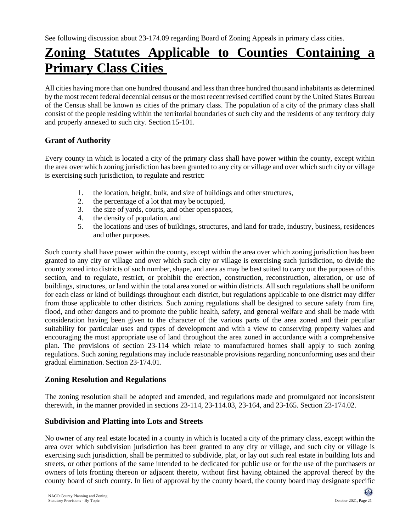## **Zoning Statutes Applicable to Counties Containing a Primary Class Cities**

All cities having more than one hundred thousand and less than three hundred thousand inhabitants as determined by the most recent federal decennial census or the most recent revised certified count by the United States Bureau of the Census shall be known as cities of the primary class. The population of a city of the primary class shall consist of the people residing within the territorial boundaries of such city and the residents of any territory duly and properly annexed to such city. Section 15-101.

## **Grant of Authority**

Every county in which is located a city of the primary class shall have power within the county, except within the area over which zoning jurisdiction has been granted to any city or village and over which such city or village is exercising such jurisdiction, to regulate and restrict:

- 1. the location, height, bulk, and size of buildings and other structures,
- 2. the percentage of a lot that may be occupied,
- 3. the size of yards, courts, and other open spaces,
- 4. the density of population, and
- 5. the locations and uses of buildings, structures, and land for trade, industry, business, residences and other purposes.

Such county shall have power within the county, except within the area over which zoning jurisdiction has been granted to any city or village and over which such city or village is exercising such jurisdiction, to divide the county zoned into districts of such number, shape, and area as may be best suited to carry out the purposes of this section, and to regulate, restrict, or prohibit the erection, construction, reconstruction, alteration, or use of buildings, structures, or land within the total area zoned or within districts. All such regulations shall be uniform for each class or kind of buildings throughout each district, but regulations applicable to one district may differ from those applicable to other districts. Such zoning regulations shall be designed to secure safety from fire, flood, and other dangers and to promote the public health, safety, and general welfare and shall be made with consideration having been given to the character of the various parts of the area zoned and their peculiar suitability for particular uses and types of development and with a view to conserving property values and encouraging the most appropriate use of land throughout the area zoned in accordance with a comprehensive plan. The provisions of section 23-114 which relate to manufactured homes shall apply to such zoning regulations. Such zoning regulations may include reasonable provisions regarding nonconforming uses and their gradual elimination. Section 23-174.01.

## **Zoning Resolution and Regulations**

The zoning resolution shall be adopted and amended, and regulations made and promulgated not inconsistent therewith, in the manner provided in sections 23-114, 23-114.03, 23-164, and 23-165. Section 23-174.02.

## **Subdivision and Platting into Lots and Streets**

No owner of any real estate located in a county in which is located a city of the primary class, except within the area over which subdivision jurisdiction has been granted to any city or village, and such city or village is exercising such jurisdiction, shall be permitted to subdivide, plat, or lay out such real estate in building lots and streets, or other portions of the same intended to be dedicated for public use or for the use of the purchasers or owners of lots fronting thereon or adjacent thereto, without first having obtained the approval thereof by the county board of such county. In lieu of approval by the county board, the county board may designate specific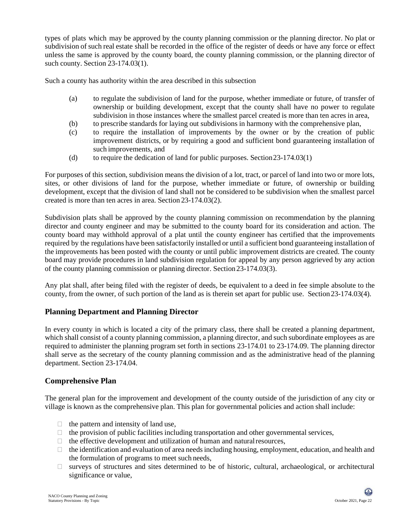types of plats which may be approved by the county planning commission or the planning director. No plat or subdivision of such real estate shall be recorded in the office of the register of deeds or have any force or effect unless the same is approved by the county board, the county planning commission, or the planning director of such county. Section 23-174.03(1).

Such a county has authority within the area described in this subsection

- (a) to regulate the subdivision of land for the purpose, whether immediate or future, of transfer of ownership or building development, except that the county shall have no power to regulate subdivision in those instances where the smallest parcel created is more than ten acres in area,
- (b) to prescribe standards for laying out subdivisions in harmony with the comprehensive plan,
- (c) to require the installation of improvements by the owner or by the creation of public improvement districts, or by requiring a good and sufficient bond guaranteeing installation of such improvements, and
- (d) to require the dedication of land for public purposes. Section23-174.03(1)

For purposes of this section, subdivision means the division of a lot, tract, or parcel of land into two or more lots, sites, or other divisions of land for the purpose, whether immediate or future, of ownership or building development, except that the division of land shall not be considered to be subdivision when the smallest parcel created is more than ten acres in area. Section 23-174.03(2).

Subdivision plats shall be approved by the county planning commission on recommendation by the planning director and county engineer and may be submitted to the county board for its consideration and action. The county board may withhold approval of a plat until the county engineer has certified that the improvements required by the regulations have been satisfactorily installed or until a sufficient bond guaranteeing installation of the improvements has been posted with the county or until public improvement districts are created. The county board may provide procedures in land subdivision regulation for appeal by any person aggrieved by any action of the county planning commission or planning director. Section 23-174.03(3).

Any plat shall, after being filed with the register of deeds, be equivalent to a deed in fee simple absolute to the county, from the owner, of such portion of the land as is therein set apart for public use. Section23-174.03(4).

## **Planning Department and Planning Director**

In every county in which is located a city of the primary class, there shall be created a planning department, which shall consist of a county planning commission, a planning director, and such subordinate employees as are required to administer the planning program set forth in sections 23-174.01 to 23-174.09. The planning director shall serve as the secretary of the county planning commission and as the administrative head of the planning department. Section 23-174.04.

#### **Comprehensive Plan**

The general plan for the improvement and development of the county outside of the jurisdiction of any city or village is known as the comprehensive plan. This plan for governmental policies and action shall include:

- $\Box$  the pattern and intensity of land use,
- $\Box$  the provision of public facilities including transportation and other governmental services,
- $\Box$  the effective development and utilization of human and natural resources,
- $\Box$  the identification and evaluation of area needs including housing, employment, education, and health and the formulation of programs to meet such needs,
- $\Box$  surveys of structures and sites determined to be of historic, cultural, archaeological, or architectural significance or value,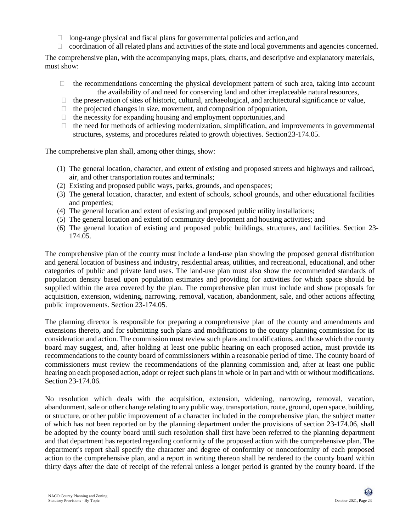- $\Box$  long-range physical and fiscal plans for governmental policies and action, and
- $\Box$  coordination of all related plans and activities of the state and local governments and agencies concerned.

The comprehensive plan, with the accompanying maps, plats, charts, and descriptive and explanatory materials, must show:

- $\Box$  the recommendations concerning the physical development pattern of such area, taking into account the availability of and need for conserving land and other irreplaceable naturalresources,
- $\Box$  the preservation of sites of historic, cultural, archaeological, and architectural significance or value,
- $\Box$  the projected changes in size, movement, and composition of population,
- $\Box$  the necessity for expanding housing and employment opportunities, and
- $\Box$  the need for methods of achieving modernization, simplification, and improvements in governmental structures, systems, and procedures related to growth objectives. Section23-174.05.

The comprehensive plan shall, among other things, show:

- (1) The general location, character, and extent of existing and proposed streets and highways and railroad, air, and other transportation routes and terminals;
- (2) Existing and proposed public ways, parks, grounds, and openspaces;
- (3) The general location, character, and extent of schools, school grounds, and other educational facilities and properties;
- (4) The general location and extent of existing and proposed public utility installations;
- (5) The general location and extent of community development and housing activities; and
- (6) The general location of existing and proposed public buildings, structures, and facilities. Section 23- 174.05.

The comprehensive plan of the county must include a land-use plan showing the proposed general distribution and general location of business and industry, residential areas, utilities, and recreational, educational, and other categories of public and private land uses. The land-use plan must also show the recommended standards of population density based upon population estimates and providing for activities for which space should be supplied within the area covered by the plan. The comprehensive plan must include and show proposals for acquisition, extension, widening, narrowing, removal, vacation, abandonment, sale, and other actions affecting public improvements. Section 23-174.05.

The planning director is responsible for preparing a comprehensive plan of the county and amendments and extensions thereto, and for submitting such plans and modifications to the county planning commission for its consideration and action. The commission must review such plans and modifications, and those which the county board may suggest, and, after holding at least one public hearing on each proposed action, must provide its recommendations to the county board of commissioners within a reasonable period of time. The county board of commissioners must review the recommendations of the planning commission and, after at least one public hearing on each proposed action, adopt or reject such plans in whole or in part and with or without modifications. Section 23-174.06.

No resolution which deals with the acquisition, extension, widening, narrowing, removal, vacation, abandonment, sale or other change relating to any public way, transportation, route, ground, open space, building, or structure, or other public improvement of a character included in the comprehensive plan, the subject matter of which has not been reported on by the planning department under the provisions of section 23-174.06, shall be adopted by the county board until such resolution shall first have been referred to the planning department and that department has reported regarding conformity of the proposed action with the comprehensive plan. The department's report shall specify the character and degree of conformity or nonconformity of each proposed action to the comprehensive plan, and a report in writing thereon shall be rendered to the county board within thirty days after the date of receipt of the referral unless a longer period is granted by the county board. If the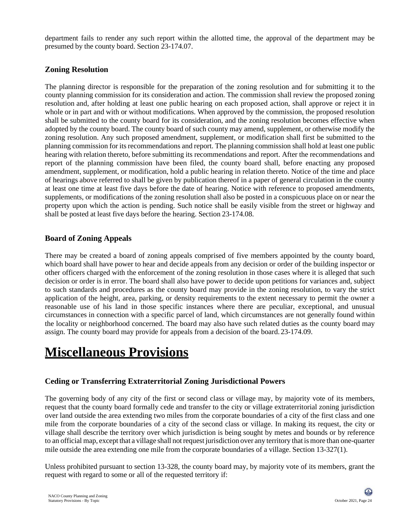department fails to render any such report within the allotted time, the approval of the department may be presumed by the county board. Section 23-174.07.

## **Zoning Resolution**

The planning director is responsible for the preparation of the zoning resolution and for submitting it to the county planning commission for its consideration and action. The commission shall review the proposed zoning resolution and, after holding at least one public hearing on each proposed action, shall approve or reject it in whole or in part and with or without modifications. When approved by the commission, the proposed resolution shall be submitted to the county board for its consideration, and the zoning resolution becomes effective when adopted by the county board. The county board of such county may amend, supplement, or otherwise modify the zoning resolution. Any such proposed amendment, supplement, or modification shall first be submitted to the planning commission for its recommendations and report. The planning commission shall hold at least one public hearing with relation thereto, before submitting its recommendations and report. After the recommendations and report of the planning commission have been filed, the county board shall, before enacting any proposed amendment, supplement, or modification, hold a public hearing in relation thereto. Notice of the time and place of hearings above referred to shall be given by publication thereof in a paper of general circulation in the county at least one time at least five days before the date of hearing. Notice with reference to proposed amendments, supplements, or modifications of the zoning resolution shall also be posted in a conspicuous place on or near the property upon which the action is pending. Such notice shall be easily visible from the street or highway and shall be posted at least five days before the hearing. Section 23-174.08.

#### **Board of Zoning Appeals**

There may be created a board of zoning appeals comprised of five members appointed by the county board, which board shall have power to hear and decide appeals from any decision or order of the building inspector or other officers charged with the enforcement of the zoning resolution in those cases where it is alleged that such decision or order is in error. The board shall also have power to decide upon petitions for variances and, subject to such standards and procedures as the county board may provide in the zoning resolution, to vary the strict application of the height, area, parking, or density requirements to the extent necessary to permit the owner a reasonable use of his land in those specific instances where there are peculiar, exceptional, and unusual circumstances in connection with a specific parcel of land, which circumstances are not generally found within the locality or neighborhood concerned. The board may also have such related duties as the county board may assign. The county board may provide for appeals from a decision of the board. 23-174.09.

## **Miscellaneous Provisions**

#### **Ceding or Transferring Extraterritorial Zoning Jurisdictional Powers**

The governing body of any city of the first or second class or village may, by majority vote of its members, request that the county board formally cede and transfer to the city or village extraterritorial zoning jurisdiction over land outside the area extending two miles from the corporate boundaries of a city of the first class and one mile from the corporate boundaries of a city of the second class or village. In making its request, the city or village shall describe the territory over which jurisdiction is being sought by metes and bounds or by reference to an official map, except that a village shall notrequest jurisdiction over any territory that ismore than one-quarter mile outside the area extending one mile from the corporate boundaries of a village. Section 13-327(1).

Unless prohibited pursuant to section 13-328, the county board may, by majority vote of its members, grant the request with regard to some or all of the requested territory if: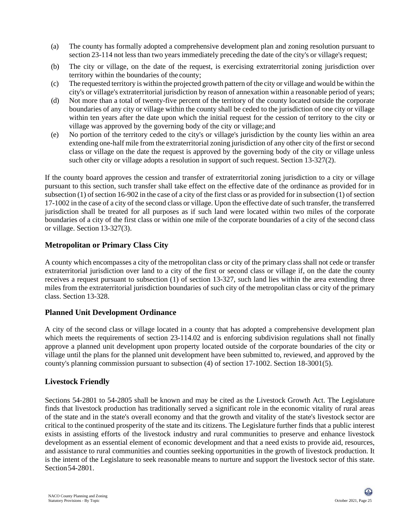- (a) The county has formally adopted a comprehensive development plan and zoning resolution pursuant to section 23-114 not less than two years immediately preceding the date of the city's or village's request;
- (b) The city or village, on the date of the request, is exercising extraterritorial zoning jurisdiction over territory within the boundaries of the county;
- (c) The requested territory is within the projected growth pattern of the city or village and would be within the city's or village's extraterritorial jurisdiction by reason of annexation within a reasonable period of years;
- (d) Not more than a total of twenty-five percent of the territory of the county located outside the corporate boundaries of any city or village within the county shall be ceded to the jurisdiction of one city or village within ten years after the date upon which the initial request for the cession of territory to the city or village was approved by the governing body of the city or village;and
- (e) No portion of the territory ceded to the city's or village's jurisdiction by the county lies within an area extending one-half mile from the extraterritorial zoning jurisdiction of any other city of the first or second class or village on the date the request is approved by the governing body of the city or village unless such other city or village adopts a resolution in support of such request. Section 13-327(2).

If the county board approves the cession and transfer of extraterritorial zoning jurisdiction to a city or village pursuant to this section, such transfer shall take effect on the effective date of the ordinance as provided for in subsection (1) of section 16-902 in the case of a city of the first class or as provided for in subsection (1) of section 17-1002 in the case of a city of the second class or village. Upon the effective date ofsuch transfer, the transferred jurisdiction shall be treated for all purposes as if such land were located within two miles of the corporate boundaries of a city of the first class or within one mile of the corporate boundaries of a city of the second class or village. Section 13-327(3).

## **Metropolitan or Primary Class City**

A county which encompasses a city of the metropolitan class or city of the primary class shall not cede or transfer extraterritorial jurisdiction over land to a city of the first or second class or village if, on the date the county receives a request pursuant to subsection (1) of section 13-327, such land lies within the area extending three miles from the extraterritorial jurisdiction boundaries of such city of the metropolitan class or city of the primary class. Section 13-328.

## **Planned Unit Development Ordinance**

A city of the second class or village located in a county that has adopted a comprehensive development plan which meets the requirements of section 23-114.02 and is enforcing subdivision regulations shall not finally approve a planned unit development upon property located outside of the corporate boundaries of the city or village until the plans for the planned unit development have been submitted to, reviewed, and approved by the county's planning commission pursuant to subsection (4) of section 17-1002. Section 18-3001(5).

## **Livestock Friendly**

Sections 54-2801 to 54-2805 shall be known and may be cited as the Livestock Growth Act. The Legislature finds that livestock production has traditionally served a significant role in the economic vitality of rural areas of the state and in the state's overall economy and that the growth and vitality of the state's livestock sector are critical to the continued prosperity of the state and its citizens. The Legislature further finds that a public interest exists in assisting efforts of the livestock industry and rural communities to preserve and enhance livestock development as an essential element of economic development and that a need exists to provide aid, resources, and assistance to rural communities and counties seeking opportunities in the growth of livestock production. It is the intent of the Legislature to seek reasonable means to nurture and support the livestock sector of this state. Section54-2801.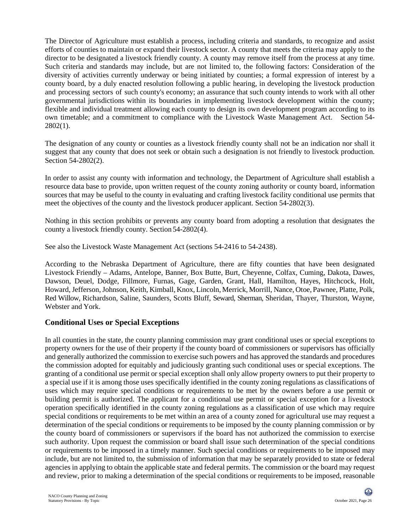The Director of Agriculture must establish a process, including criteria and standards, to recognize and assist efforts of counties to maintain or expand their livestock sector. A county that meets the criteria may apply to the director to be designated a livestock friendly county. A county may remove itself from the process at any time. Such criteria and standards may include, but are not limited to, the following factors: Consideration of the diversity of activities currently underway or being initiated by counties; a formal expression of interest by a county board, by a duly enacted resolution following a public hearing, in developing the livestock production and processing sectors of such county's economy; an assurance that such county intends to work with all other governmental jurisdictions within its boundaries in implementing livestock development within the county; flexible and individual treatment allowing each county to design its own development program according to its own timetable; and a commitment to compliance with the Livestock Waste Management Act. Section 54- 2802(1).

The designation of any county or counties as a livestock friendly county shall not be an indication nor shall it suggest that any county that does not seek or obtain such a designation is not friendly to livestock production. Section 54-2802(2).

In order to assist any county with information and technology, the Department of Agriculture shall establish a resource data base to provide, upon written request of the county zoning authority or county board, information sources that may be useful to the county in evaluating and crafting livestock facility conditional use permits that meet the objectives of the county and the livestock producer applicant. Section 54-2802(3).

Nothing in this section prohibits or prevents any county board from adopting a resolution that designates the county a livestock friendly county. Section 54-2802(4).

See also the Livestock Waste Management Act (sections 54-2416 to 54-2438).

According to the Nebraska Department of Agriculture, there are fifty counties that have been designated Livestock Friendly – Adams, Antelope, Banner, Box Butte, Burt, Cheyenne, Colfax, Cuming, Dakota, Dawes, Dawson, Deuel, Dodge, Fillmore, Furnas, Gage, Garden, Grant, Hall, Hamilton, Hayes, Hitchcock, Holt, Howard, Jefferson, Johnson, Keith, Kimball, Knox, Lincoln, Merrick, Morrill, Nance, Otoe, Pawnee, Platte, Polk, Red Willow, Richardson, Saline, Saunders, Scotts Bluff, Seward, Sherman, Sheridan, Thayer, Thurston, Wayne, Webster and York.

#### **Conditional Uses or Special Exceptions**

In all counties in the state, the county planning commission may grant conditional uses or special exceptions to property owners for the use of their property if the county board of commissioners or supervisors has officially and generally authorized the commission to exercise such powers and has approved the standards and procedures the commission adopted for equitably and judiciously granting such conditional uses or special exceptions. The granting of a conditional use permit or special exception shall only allow property owners to put their property to a special use if it is among those uses specifically identified in the county zoning regulations as classifications of uses which may require special conditions or requirements to be met by the owners before a use permit or building permit is authorized. The applicant for a conditional use permit or special exception for a livestock operation specifically identified in the county zoning regulations as a classification of use which may require special conditions or requirements to be met within an area of a county zoned for agricultural use may request a determination of the special conditions or requirements to be imposed by the county planning commission or by the county board of commissioners or supervisors if the board has not authorized the commission to exercise such authority. Upon request the commission or board shall issue such determination of the special conditions or requirements to be imposed in a timely manner. Such special conditions or requirements to be imposed may include, but are not limited to, the submission of information that may be separately provided to state or federal agencies in applying to obtain the applicable state and federal permits. The commission or the board may request and review, prior to making a determination of the special conditions or requirements to be imposed, reasonable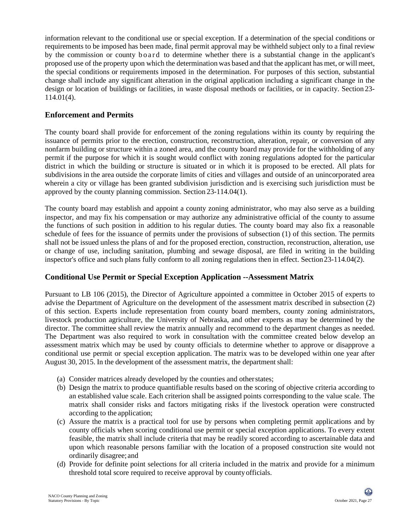information relevant to the conditional use or special exception. If a determination of the special conditions or requirements to be imposed has been made, final permit approval may be withheld subject only to a final review by the commission or county board to determine whether there is a substantial change in the applicant's proposed use of the property upon which the determination was based and that the applicant has met, or will meet, the special conditions or requirements imposed in the determination. For purposes of this section, substantial change shall include any significant alteration in the original application including a significant change in the design or location of buildings or facilities, in waste disposal methods or facilities, or in capacity. Section 23- 114.01(4).

#### **Enforcement and Permits**

The county board shall provide for enforcement of the zoning regulations within its county by requiring the issuance of permits prior to the erection, construction, reconstruction, alteration, repair, or conversion of any nonfarm building or structure within a zoned area, and the county board may provide for the withholding of any permit if the purpose for which it is sought would conflict with zoning regulations adopted for the particular district in which the building or structure is situated or in which it is proposed to be erected. All plats for subdivisions in the area outside the corporate limits of cities and villages and outside of an unincorporated area wherein a city or village has been granted subdivision jurisdiction and is exercising such jurisdiction must be approved by the county planning commission. Section 23-114.04(1).

The county board may establish and appoint a county zoning administrator, who may also serve as a building inspector, and may fix his compensation or may authorize any administrative official of the county to assume the functions of such position in addition to his regular duties. The county board may also fix a reasonable schedule of fees for the issuance of permits under the provisions of subsection (1) of this section. The permits shall not be issued unless the plans of and for the proposed erection, construction, reconstruction, alteration, use or change of use, including sanitation, plumbing and sewage disposal, are filed in writing in the building inspector's office and such plans fully conform to all zoning regulations then in effect. Section23-114.04(2).

#### **Conditional Use Permit or Special Exception Application --Assessment Matrix**

Pursuant to LB 106 (2015), the Director of Agriculture appointed a committee in October 2015 of experts to advise the Department of Agriculture on the development of the assessment matrix described in subsection (2) of this section. Experts include representation from county board members, county zoning administrators, livestock production agriculture, the University of Nebraska, and other experts as may be determined by the director. The committee shall review the matrix annually and recommend to the department changes as needed. The Department was also required to work in consultation with the committee created below develop an assessment matrix which may be used by county officials to determine whether to approve or disapprove a conditional use permit or special exception application. The matrix was to be developed within one year after August 30, 2015. In the development of the assessment matrix, the department shall:

- (a) Consider matrices already developed by the counties and otherstates;
- (b) Design the matrix to produce quantifiable results based on the scoring of objective criteria according to an established value scale. Each criterion shall be assigned points corresponding to the value scale. The matrix shall consider risks and factors mitigating risks if the livestock operation were constructed according to the application;
- (c) Assure the matrix is a practical tool for use by persons when completing permit applications and by county officials when scoring conditional use permit or special exception applications. To every extent feasible, the matrix shall include criteria that may be readily scored according to ascertainable data and upon which reasonable persons familiar with the location of a proposed construction site would not ordinarily disagree; and
- (d) Provide for definite point selections for all criteria included in the matrix and provide for a minimum threshold total score required to receive approval by countyofficials.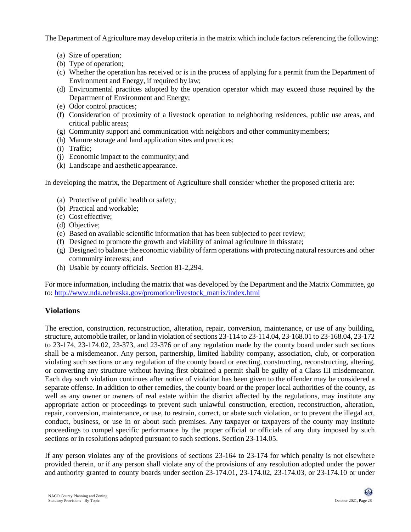The Department of Agriculture may develop criteria in the matrix which include factors referencing the following:

- (a) Size of operation;
- (b) Type of operation;
- (c) Whether the operation has received or is in the process of applying for a permit from the Department of Environment and Energy, if required by law;
- (d) Environmental practices adopted by the operation operator which may exceed those required by the Department of Environment and Energy;
- (e) Odor control practices;
- (f) Consideration of proximity of a livestock operation to neighboring residences, public use areas, and critical public areas;
- (g) Community support and communication with neighbors and other communitymembers;
- (h) Manure storage and land application sites and practices;
- (i) Traffic;
- (j) Economic impact to the community; and
- (k) Landscape and aesthetic appearance.

In developing the matrix, the Department of Agriculture shall consider whether the proposed criteria are:

- (a) Protective of public health orsafety;
- (b) Practical and workable;
- (c) Cost effective;
- (d) Objective;
- (e) Based on available scientific information that has been subjected to peer review;
- (f) Designed to promote the growth and viability of animal agriculture in thisstate;
- (g) Designed to balance the economic viability of farm operations with protecting natural resources and other community interests; and
- (h) Usable by county officials. Section 81-2,294.

For more information, including the matrix that was developed by the Department and the Matrix Committee, go to: [http://www.nda.nebraska.gov/promotion/livestock\\_matrix/index.html](http://www.nda.nebraska.gov/promotion/livestock_matrix/index.html)

## **Violations**

The erection, construction, reconstruction, alteration, repair, conversion, maintenance, or use of any building, structure, automobile trailer, or land in violation of sections 23-114 to 23-114.04, 23-168.01 to 23-168.04, 23-172 to 23-174, 23-174.02, 23-373, and 23-376 or of any regulation made by the county board under such sections shall be a misdemeanor. Any person, partnership, limited liability company, association, club, or corporation violating such sections or any regulation of the county board or erecting, constructing, reconstructing, altering, or converting any structure without having first obtained a permit shall be guilty of a Class III misdemeanor. Each day such violation continues after notice of violation has been given to the offender may be considered a separate offense. In addition to other remedies, the county board or the proper local authorities of the county, as well as any owner or owners of real estate within the district affected by the regulations, may institute any appropriate action or proceedings to prevent such unlawful construction, erection, reconstruction, alteration, repair, conversion, maintenance, or use, to restrain, correct, or abate such violation, or to prevent the illegal act, conduct, business, or use in or about such premises. Any taxpayer or taxpayers of the county may institute proceedings to compel specific performance by the proper official or officials of any duty imposed by such sections or in resolutions adopted pursuant to such sections. Section 23-114.05.

If any person violates any of the provisions of sections 23-164 to 23-174 for which penalty is not elsewhere provided therein, or if any person shall violate any of the provisions of any resolution adopted under the power and authority granted to county boards under section 23-174.01, 23-174.02, 23-174.03, or 23-174.10 or under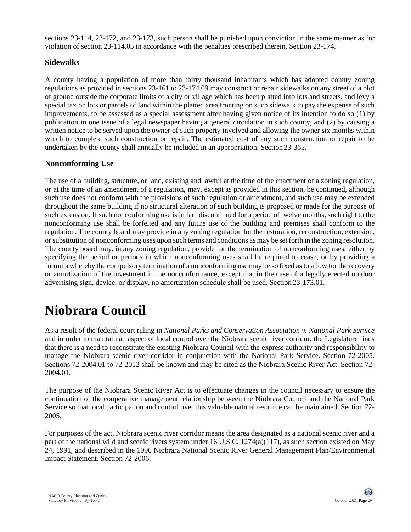sections 23-114, 23-172, and 23-173, such person shall be punished upon conviction in the same manner as for violation of section 23-114.05 in accordance with the penalties prescribed therein. Section 23-174.

## **Sidewalks**

A county having a population of more than thirty thousand inhabitants which has adopted county zoning regulations as provided in sections 23-161 to 23-174.09 may construct or repair sidewalks on any street of a plot of ground outside the corporate limits of a city or village which has been platted into lots and streets, and levy a special tax on lots or parcels of land within the platted area fronting on such sidewalk to pay the expense of such improvements, to be assessed as a special assessment after having given notice of its intention to do so (1) by publication in one issue of a legal newspaper having a general circulation in such county, and (2) by causing a written notice to be served upon the owner of such property involved and allowing the owner six months within which to complete such construction or repair. The estimated cost of any such construction or repair to be undertaken by the county shall annually be included in an appropriation. Section 23-365.

## **Nonconforming Use**

The use of a building, structure, or land, existing and lawful at the time of the enactment of a zoning regulation, or at the time of an amendment of a regulation, may, except as provided in this section, be continued, although such use does not conform with the provisions of such regulation or amendment, and such use may be extended throughout the same building if no structural alteration of such building is proposed or made for the purpose of such extension. If such nonconforming use is in fact discontinued for a period of twelve months, such right to the nonconforming use shall be forfeited and any future use of the building and premises shall conform to the regulation. The county board may provide in any zoning regulation for the restoration, reconstruction, extension, orsubstitution of nonconforming uses upon such terms and conditions as may be set forth in the zoning resolution. The county board may, in any zoning regulation, provide for the termination of nonconforming uses, either by specifying the period or periods in which nonconforming uses shall be required to cease, or by providing a formula whereby the compulsory termination of a nonconforming use may be so fixed as to allow for the recovery or amortization of the investment in the nonconformance, except that in the case of a legally erected outdoor advertising sign, device, or display, no amortization schedule shall be used. Section 23-173.01.

## **Niobrara Council**

As a result of the federal court ruling in *National Parks and Conservation Association v. National Park Service* and in order to maintain an aspect of local control over the Niobrara scenic river corridor, the Legislature finds that there is a need to reconstitute the existing Niobrara Council with the express authority and responsibility to manage the Niobrara scenic river corridor in conjunction with the National Park Service. Section 72-2005. Sections 72-2004.01 to 72-2012 shall be known and may be cited as the Niobrara Scenic River Act. Section 72- 2004.01.

The purpose of the Niobrara Scenic River Act is to effectuate changes in the council necessary to ensure the continuation of the cooperative management relationship between the Niobrara Council and the National Park Service so that local participation and control over this valuable natural resource can be maintained. Section 72- 2005.

For purposes of the act, Niobrara scenic river corridor means the area designated as a national scenic river and a part of the national wild and scenic rivers system under 16 U.S.C. 1274(a)(117), as such section existed on May 24, 1991, and described in the 1996 Niobrara National Scenic River General Management Plan/Environmental Impact Statement. Section 72-2006.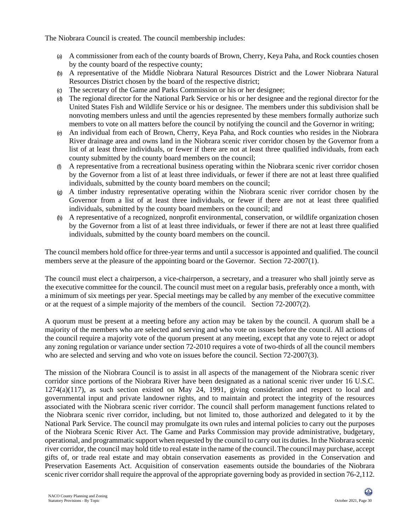The Niobrara Council is created. The council membership includes:

- (a) A commissioner from each of the county boards of Brown, Cherry, Keya Paha, and Rock counties chosen by the county board of the respective county;
- (b) A representative of the Middle Niobrara Natural Resources District and the Lower Niobrara Natural Resources District chosen by the board of the respective district;
- (c) The secretary of the Game and Parks Commission or his or her designee;
- (d) The regional director for the National Park Service or his or her designee and the regional director for the United States Fish and Wildlife Service or his or designee. The members under this subdivision shall be nonvoting members unless and until the agencies represented by these members formally authorize such members to vote on all matters before the council by notifying the council and the Governor in writing;
- (e) An individual from each of Brown, Cherry, Keya Paha, and Rock counties who resides in the Niobrara River drainage area and owns land in the Niobrara scenic river corridor chosen by the Governor from a list of at least three individuals, or fewer if there are not at least three qualified individuals, from each county submitted by the county board members on the council;
- (f) A representative from a recreational business operating within the Niobrara scenic river corridor chosen by the Governor from a list of at least three individuals, or fewer if there are not at least three qualified individuals, submitted by the county board members on the council;
- (g) A timber industry representative operating within the Niobrara scenic river corridor chosen by the Governor from a list of at least three individuals, or fewer if there are not at least three qualified individuals, submitted by the county board members on the council; and
- (h) A representative of a recognized, nonprofit environmental, conservation, or wildlife organization chosen by the Governor from a list of at least three individuals, or fewer if there are not at least three qualified individuals, submitted by the county board members on the council.

The council members hold office for three-year terms and until a successor is appointed and qualified. The council members serve at the pleasure of the appointing board or the Governor. Section 72-2007(1).

The council must elect a chairperson, a vice-chairperson, a secretary, and a treasurer who shall jointly serve as the executive committee for the council. The council must meet on a regular basis, preferably once a month, with a minimum of six meetings per year. Special meetings may be called by any member of the executive committee or at the request of a simple majority of the members of the council. Section 72-2007(2).

A quorum must be present at a meeting before any action may be taken by the council. A quorum shall be a majority of the members who are selected and serving and who vote on issues before the council. All actions of the council require a majority vote of the quorum present at any meeting, except that any vote to reject or adopt any zoning regulation or variance under section 72-2010 requires a vote of two-thirds of all the council members who are selected and serving and who vote on issues before the council. Section 72-2007(3).

The mission of the Niobrara Council is to assist in all aspects of the management of the Niobrara scenic river corridor since portions of the Niobrara River have been designated as a national scenic river under 16 U.S.C.  $1274(a)(117)$ , as such section existed on May 24, 1991, giving consideration and respect to local and governmental input and private landowner rights, and to maintain and protect the integrity of the resources associated with the Niobrara scenic river corridor. The council shall perform management functions related to the Niobrara scenic river corridor, including, but not limited to, those authorized and delegated to it by the National Park Service. The council may promulgate its own rules and internal policies to carry out the purposes of the Niobrara Scenic River Act. The Game and Parks Commission may provide administrative, budgetary, operational, and programmatic support when requested by the council to carry out its duties. In the Niobrara scenic river corridor, the council may hold title to real estate in the name of the council.The council may purchase, accept gifts of, or trade real estate and may obtain conservation easements as provided in the Conservation and Preservation Easements Act. Acquisition of conservation easements outside the boundaries of the Niobrara scenic river corridor shall require the approval of the appropriate governing body as provided in section 76-2,112.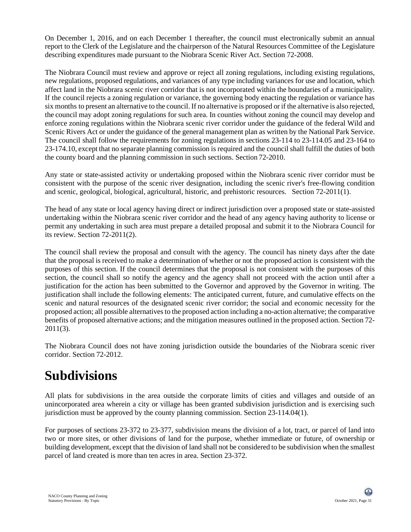On December 1, 2016, and on each December 1 thereafter, the council must electronically submit an annual report to the Clerk of the Legislature and the chairperson of the Natural Resources Committee of the Legislature describing expenditures made pursuant to the Niobrara Scenic River Act. Section 72-2008.

The Niobrara Council must review and approve or reject all zoning regulations, including existing regulations, new regulations, proposed regulations, and variances of any type including variances for use and location, which affect land in the Niobrara scenic river corridor that is not incorporated within the boundaries of a municipality. If the council rejects a zoning regulation or variance, the governing body enacting the regulation or variance has six months to present an alternative to the council. If no alternative is proposed or if the alternative is also rejected, the council may adopt zoning regulations for such area. In counties without zoning the council may develop and enforce zoning regulations within the Niobrara scenic river corridor under the guidance of the federal Wild and Scenic Rivers Act or under the guidance of the general management plan as written by the National Park Service. The council shall follow the requirements for zoning regulations in sections 23-114 to 23-114.05 and 23-164 to 23-174.10, except that no separate planning commission is required and the council shall fulfill the duties of both the county board and the planning commission in such sections. Section 72-2010.

Any state or state-assisted activity or undertaking proposed within the Niobrara scenic river corridor must be consistent with the purpose of the scenic river designation, including the scenic river's free-flowing condition and scenic, geological, biological, agricultural, historic, and prehistoric resources. Section 72-2011(1).

The head of any state or local agency having direct or indirect jurisdiction over a proposed state or state-assisted undertaking within the Niobrara scenic river corridor and the head of any agency having authority to license or permit any undertaking in such area must prepare a detailed proposal and submit it to the Niobrara Council for its review. Section 72-2011(2).

The council shall review the proposal and consult with the agency. The council has ninety days after the date that the proposal is received to make a determination of whether or not the proposed action is consistent with the purposes of this section. If the council determines that the proposal is not consistent with the purposes of this section, the council shall so notify the agency and the agency shall not proceed with the action until after a justification for the action has been submitted to the Governor and approved by the Governor in writing. The justification shall include the following elements: The anticipated current, future, and cumulative effects on the scenic and natural resources of the designated scenic river corridor; the social and economic necessity for the proposed action; all possible alternatives to the proposed action including a no-action alternative; the comparative benefits of proposed alternative actions; and the mitigation measures outlined in the proposed action. Section 72- 2011(3).

The Niobrara Council does not have zoning jurisdiction outside the boundaries of the Niobrara scenic river corridor. Section 72-2012.

## **Subdivisions**

All plats for subdivisions in the area outside the corporate limits of cities and villages and outside of an unincorporated area wherein a city or village has been granted subdivision jurisdiction and is exercising such jurisdiction must be approved by the county planning commission. Section 23-114.04(1).

For purposes of sections 23-372 to 23-377, subdivision means the division of a lot, tract, or parcel of land into two or more sites, or other divisions of land for the purpose, whether immediate or future, of ownership or building development, except that the division of land shall not be considered to be subdivision when the smallest parcel of land created is more than ten acres in area. Section 23-372.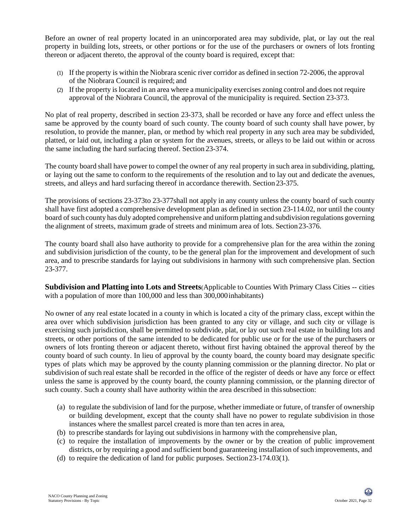Before an owner of real property located in an unincorporated area may subdivide, plat, or lay out the real property in building lots, streets, or other portions or for the use of the purchasers or owners of lots fronting thereon or adjacent thereto, the approval of the county board is required, except that:

- (1) If the property is within the Niobrara scenic river corridor as defined in section 72-2006, the approval of the Niobrara Council is required; and
- (2) If the property islocated in an area where a municipality exercises zoning control and does not require approval of the Niobrara Council, the approval of the municipality is required. Section 23-373.

No plat of real property, described in section 23-373, shall be recorded or have any force and effect unless the same be approved by the county board of such county. The county board of such county shall have power, by resolution, to provide the manner, plan, or method by which real property in any such area may be subdivided, platted, or laid out, including a plan or system for the avenues, streets, or alleys to be laid out within or across the same including the hard surfacing thereof. Section 23-374.

The county board shall have power to compel the owner of any real property in such area in subdividing, platting, or laying out the same to conform to the requirements of the resolution and to lay out and dedicate the avenues, streets, and alleys and hard surfacing thereof in accordance therewith. Section 23-375.

The provisions of sections 23-373to 23-377shall not apply in any county unless the county board of such county shall have first adopted a comprehensive development plan as defined in section 23-114.02, nor until the county board of such county has duly adopted comprehensive and uniform platting and subdivision regulations governing the alignment of streets, maximum grade of streets and minimum area of lots. Section23-376.

The county board shall also have authority to provide for a comprehensive plan for the area within the zoning and subdivision jurisdiction of the county, to be the general plan for the improvement and development of such area, and to prescribe standards for laying out subdivisions in harmony with such comprehensive plan. Section 23-377.

**Subdivision and Platting into Lots and Streets**(Applicable to Counties With Primary Class Cities -- cities with a population of more than 100,000 and less than 300,000 inhabitants)

No owner of any real estate located in a county in which is located a city of the primary class, except within the area over which subdivision jurisdiction has been granted to any city or village, and such city or village is exercising such jurisdiction, shall be permitted to subdivide, plat, or lay out such real estate in building lots and streets, or other portions of the same intended to be dedicated for public use or for the use of the purchasers or owners of lots fronting thereon or adjacent thereto, without first having obtained the approval thereof by the county board of such county. In lieu of approval by the county board, the county board may designate specific types of plats which may be approved by the county planning commission or the planning director. No plat or subdivision of such real estate shall be recorded in the office of the register of deeds or have any force or effect unless the same is approved by the county board, the county planning commission, or the planning director of such county. Such a county shall have authority within the area described in this subsection:

- (a) to regulate the subdivision of land for the purpose, whether immediate or future, of transfer of ownership or building development, except that the county shall have no power to regulate subdivision in those instances where the smallest parcel created is more than ten acres in area,
- (b) to prescribe standards for laying out subdivisions in harmony with the comprehensive plan,
- (c) to require the installation of improvements by the owner or by the creation of public improvement districts, or by requiring a good and sufficient bond guaranteeing installation of such improvements, and
- (d) to require the dedication of land for public purposes. Section23-174.03(1).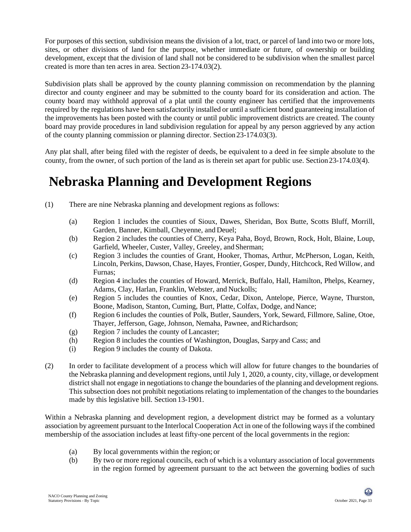For purposes of this section, subdivision means the division of a lot, tract, or parcel of land into two or more lots, sites, or other divisions of land for the purpose, whether immediate or future, of ownership or building development, except that the division of land shall not be considered to be subdivision when the smallest parcel created is more than ten acres in area. Section 23-174.03(2).

Subdivision plats shall be approved by the county planning commission on recommendation by the planning director and county engineer and may be submitted to the county board for its consideration and action. The county board may withhold approval of a plat until the county engineer has certified that the improvements required by the regulations have been satisfactorily installed or until a sufficient bond guaranteeing installation of the improvements has been posted with the county or until public improvement districts are created. The county board may provide procedures in land subdivision regulation for appeal by any person aggrieved by any action of the county planning commission or planning director. Section 23-174.03(3).

Any plat shall, after being filed with the register of deeds, be equivalent to a deed in fee simple absolute to the county, from the owner, of such portion of the land as is therein set apart for public use. Section23-174.03(4).

## **Nebraska Planning and Development Regions**

- (1) There are nine Nebraska planning and development regions as follows:
	- (a) Region 1 includes the counties of Sioux, Dawes, Sheridan, Box Butte, Scotts Bluff, Morrill, Garden, Banner, Kimball, Cheyenne, and Deuel;
	- (b) Region 2 includes the counties of Cherry, Keya Paha, Boyd, Brown, Rock, Holt, Blaine, Loup, Garfield, Wheeler, Custer, Valley, Greeley, and Sherman;
	- (c) Region 3 includes the counties of Grant, Hooker, Thomas, Arthur, McPherson, Logan, Keith, Lincoln, Perkins, Dawson, Chase, Hayes, Frontier, Gosper, Dundy, Hitchcock, Red Willow, and Furnas;
	- (d) Region 4 includes the counties of Howard, Merrick, Buffalo, Hall, Hamilton, Phelps, Kearney, Adams, Clay, Harlan, Franklin, Webster, and Nuckolls;
	- (e) Region 5 includes the counties of Knox, Cedar, Dixon, Antelope, Pierce, Wayne, Thurston, Boone, Madison, Stanton, Cuming, Burt, Platte, Colfax, Dodge, and Nance;
	- (f) Region 6 includes the counties of Polk, Butler, Saunders, York, Seward, Fillmore, Saline, Otoe, Thayer, Jefferson, Gage, Johnson, Nemaha, Pawnee, and Richardson;
	- (g) Region 7 includes the county of Lancaster;
	- (h) Region 8 includes the counties of Washington, Douglas, Sarpyand Cass; and
	- (i) Region 9 includes the county of Dakota.
- (2) In order to facilitate development of a process which will allow for future changes to the boundaries of the Nebraska planning and development regions, until July 1, 2020, a county, city, village, or development district shall not engage in negotiations to change the boundaries of the planning and development regions. This subsection does not prohibit negotiations relating to implementation of the changes to the boundaries made by this legislative bill. Section 13-1901.

Within a Nebraska planning and development region, a development district may be formed as a voluntary association by agreement pursuant to the Interlocal Cooperation Act in one of the following ways if the combined membership of the association includes at least fifty-one percent of the local governments in the region:

- (a) By local governments within the region; or
- (b) By two or more regional councils, each of which is a voluntary association of local governments in the region formed by agreement pursuant to the act between the governing bodies of such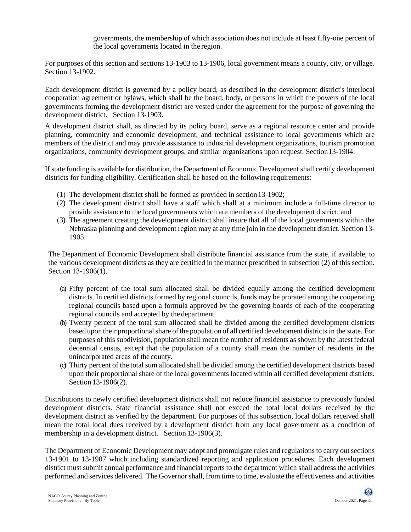governments, the membership of which association does not include at least fifty-one percent of the local governments located in the region.

For purposes of this section and sections 13-1903 to 13-1906, local government means a county, city, or village. Section 13-1902.

Each development district is governed by a policy board, as described in the development district's interlocal cooperation agreement or bylaws, which shall be the board, body, or persons in which the powers of the local governments forming the development district are vested under the agreement for the purpose of governing the development district. Section 13-1903.

A development district shall, as directed by its policy board, serve as a regional resource center and provide planning, community and economic development, and technical assistance to local governments which are members of the district and may provide assistance to industrial development organizations, tourism promotion organizations, community development groups, and similar organizations upon request. Section13-1904.

If state funding is available for distribution, the Department of Economic Development shall certify development districts for funding eligibility. Certification shall be based on the following requirements:

- (1) The development district shall be formed as provided in section13-1902;
- (2) The development district shall have a staff which shall at a minimum include a full-time director to provide assistance to the local governments which are members of the development district; and
- (3) The agreement creating the development district shall insure that all of the local governments within the Nebraska planning and development region may at any time join in the development district. Section 13- 1905.

The Department of Economic Development shall distribute financial assistance from the state, if available, to the various development districts as they are certified in the manner prescribed in subsection (2) of this section. Section 13-1906(1).

- (a) Fifty percent of the total sum allocated shall be divided equally among the certified development districts. In certified districts formed by regional councils, funds may be prorated among the cooperating regional councils based upon a formula approved by the governing boards of each of the cooperating regional councils and accepted by the department.
- (b) Twenty percent of the total sum allocated shall be divided among the certified development districts based upon their proportionalshare of the population of all certified development districts in the state. For purposes of this subdivision, population shall mean the number of residents as shown by the latest federal decennial census, except that the population of a county shall mean the number of residents in the unincorporated areas of the county.
- (c) Thirty percent of the total sum allocated shall be divided among the certified development districts based upon their proportional share of the local governments located within all certified development districts. Section 13-1906(2).

Distributions to newly certified development districts shall not reduce financial assistance to previously funded development districts. State financial assistance shall not exceed the total local dollars received by the development district as verified by the department. For purposes of this subsection, local dollars received shall mean the total local dues received by a development district from any local government as a condition of membership in a development district. Section 13-1906(3).

The Department of Economic Development may adopt and promulgate rules and regulations to carry outsections 13-1901 to 13-1907 which including standardized reporting and application procedures. Each development district must submit annual performance and financial reports to the department which shall address the activities performed and services delivered. The Governor shall, from time to time, evaluate the effectiveness and activities